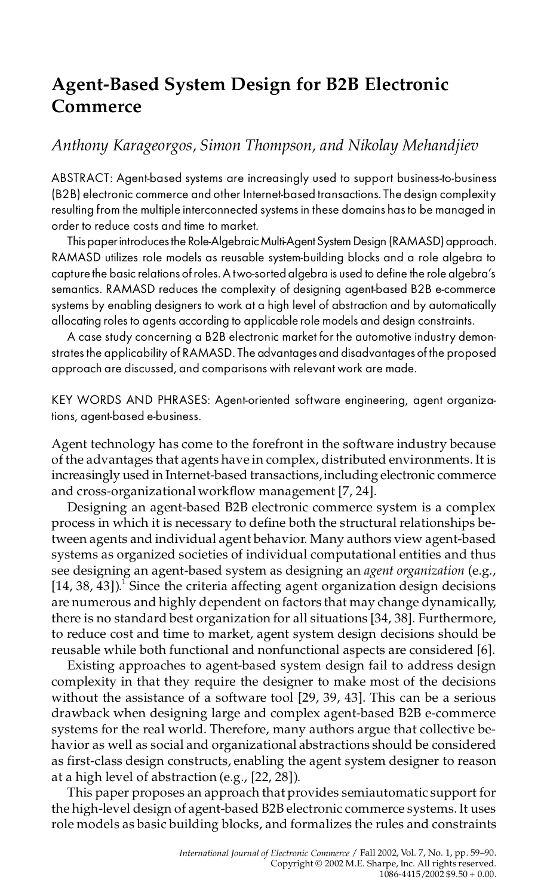# **Agent-Based System Design for B2B Electronic Commerce**

## *Anthony Karageorgos, Simon Thompson, and Nikolay Mehandjiev*

ABSTRACT: Agent-based systems are increasingly used to support business-to-business (B2B) electronic commerce and other Internet-based transactions. The design complexity resulting from the multiple interconnected systems in these domains has to be managed in order to reduce costs and time to market.

This paper introduces the Role-Algebraic Multi-Agent System Design (RAMASD) approach. RAMASD utilizes role models as reusable system-building blocks and a role algebra to capture the basic relations of roles. A two-sorted algebra is used to define the role algebra's semantics. RAMASD reduces the complexity of designing agent-based B2B e-commerce systems by enabling designers to work at a high level of abstraction and by automatically allocating roles to agents according to applicable role models and design constraints.

A case study concerning a B2B electronic market for the automotive industry demonstrates the applicability of RAMASD. The advantages and disadvantages of the proposed approach are discussed, and comparisons with relevant work are made.

KEY WORDS AND PHRASES: Agent-oriented software engineering, agent organizations, agent-based e-business.

Agent technology has come to the forefront in the software industry because of the advantages that agents have in complex, distributed environments. It is increasingly used in Internet-based transactions, including electronic commerce and cross-organizational workflow management [7, 24].

Designing an agent-based B2B electronic commerce system is a complex process in which it is necessary to define both the structural relationships between agents and individual agent behavior. Many authors view agent-based systems as organized societies of individual computational entities and thus see designing an agent-based system as designing an *agent organization* (e.g.,  $[14, 38, 43]$ .<sup>1</sup> Since the criteria affecting agent organization design decisions are numerous and highly dependent on factors that may change dynamically, there is no standard best organization for all situations [34, 38]. Furthermore, to reduce cost and time to market, agent system design decisions should be reusable while both functional and nonfunctional aspects are considered [6].

Existing approaches to agent-based system design fail to address design complexity in that they require the designer to make most of the decisions without the assistance of a software tool [29, 39, 43]. This can be a serious drawback when designing large and complex agent-based B2B e-commerce systems for the real world. Therefore, many authors argue that collective behavior as well as social and organizational abstractions should be considered as first-class design constructs, enabling the agent system designer to reason at a high level of abstraction (e.g., [22, 28]).

This paper proposes an approach that provides semiautomatic support for the high-level design of agent-based B2B electronic commerce systems. It uses role models as basic building blocks, and formalizes the rules and constraints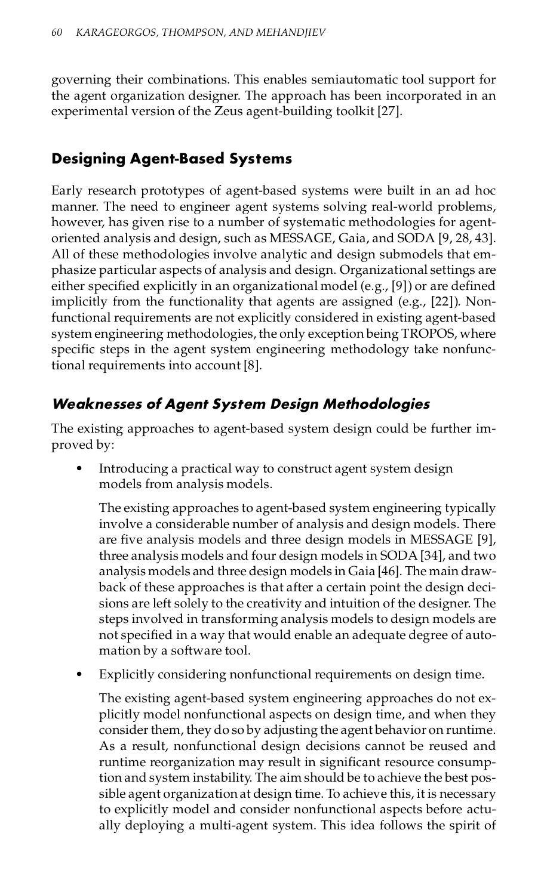governing their combinations. This enables semiautomatic tool support for the agent organization designer. The approach has been incorporated in an experimental version of the Zeus agent-building toolkit [27].

# **Designing Agent-Based Systems**

Early research prototypes of agent-based systems were built in an ad hoc manner. The need to engineer agent systems solving real-world problems, however, has given rise to a number of systematic methodologies for agentoriented analysis and design, such as MESSAGE, Gaia, and SODA [9, 28, 43]. All of these methodologies involve analytic and design submodels that emphasize particular aspects of analysis and design. Organizational settings are either specified explicitly in an organizational model (e.g., [9]) or are defined implicitly from the functionality that agents are assigned (e.g., [22]). Nonfunctional requirements are not explicitly considered in existing agent-based system engineering methodologies, the only exception being TROPOS, where specific steps in the agent system engineering methodology take nonfunctional requirements into account [8].

## *Weaknesses of Agent System Design Methodologies*

The existing approaches to agent-based system design could be further improved by:

 Introducing a practical way to construct agent system design models from analysis models.

The existing approaches to agent-based system engineering typically involve a considerable number of analysis and design models. There are five analysis models and three design models in MESSAGE [9], three analysis models and four design models in SODA [34], and two analysis models and three design models in Gaia [46]. The main drawback of these approaches is that after a certain point the design decisions are left solely to the creativity and intuition of the designer. The steps involved in transforming analysis models to design models are not specified in a way that would enable an adequate degree of automation by a software tool.

Explicitly considering nonfunctional requirements on design time.

The existing agent-based system engineering approaches do not explicitly model nonfunctional aspects on design time, and when they consider them, they do so by adjusting the agent behavior on runtime. As a result, nonfunctional design decisions cannot be reused and runtime reorganization may result in significant resource consumption and system instability. The aim should be to achieve the best possible agent organization at design time. To achieve this, it is necessary to explicitly model and consider nonfunctional aspects before actually deploying a multi-agent system. This idea follows the spirit of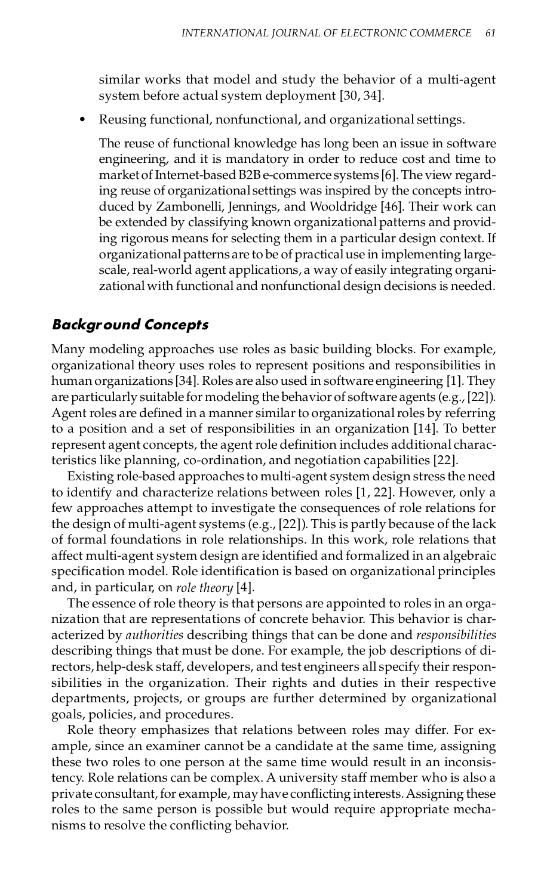similar works that model and study the behavior of a multi-agent system before actual system deployment [30, 34].

Reusing functional, nonfunctional, and organizational settings.

The reuse of functional knowledge has long been an issue in software engineering, and it is mandatory in order to reduce cost and time to market of Internet-based B2B e-commerce systems [6]. The view regarding reuse of organizational settings was inspired by the concepts introduced by Zambonelli, Jennings, and Wooldridge [46]. Their work can be extended by classifying known organizational patterns and providing rigorous means for selecting them in a particular design context. If organizational patterns are to be of practical use in implementing largescale, real-world agent applications, a way of easily integrating organizational with functional and nonfunctional design decisions is needed.

#### *Background Concepts*

Many modeling approaches use roles as basic building blocks. For example, organizational theory uses roles to represent positions and responsibilities in human organizations [34]. Roles are also used in software engineering [1]. They are particularly suitable for modeling the behavior of software agents (e.g., [22]). Agent roles are defined in a manner similar to organizational roles by referring to a position and a set of responsibilities in an organization [14]. To better represent agent concepts, the agent role definition includes additional characteristics like planning, co-ordination, and negotiation capabilities [22].

Existing role-based approaches to multi-agent system design stress the need to identify and characterize relations between roles [1, 22]. However, only a few approaches attempt to investigate the consequences of role relations for the design of multi-agent systems (e.g., [22]). This is partly because of the lack of formal foundations in role relationships. In this work, role relations that affect multi-agent system design are identified and formalized in an algebraic specification model. Role identification is based on organizational principles and, in particular, on *role theory* [4].

The essence of role theory is that persons are appointed to roles in an organization that are representations of concrete behavior. This behavior is characterized by *authorities* describing things that can be done and *responsibilities* describing things that must be done. For example, the job descriptions of directors, help-desk staff, developers, and test engineers all specify their responsibilities in the organization. Their rights and duties in their respective departments, projects, or groups are further determined by organizational goals, policies, and procedures.

Role theory emphasizes that relations between roles may differ. For example, since an examiner cannot be a candidate at the same time, assigning these two roles to one person at the same time would result in an inconsistency. Role relations can be complex. A university staff member who is also a private consultant, for example, may have conflicting interests. Assigning these roles to the same person is possible but would require appropriate mechanisms to resolve the conflicting behavior.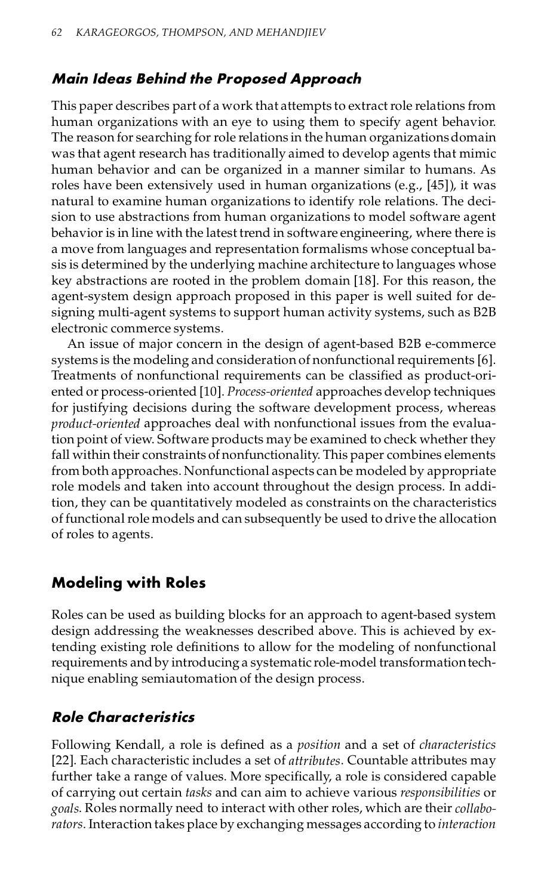## *Main Ideas Behind the Proposed Approach*

This paper describes part of a work that attempts to extract role relations from human organizations with an eye to using them to specify agent behavior. The reason for searching for role relations in the human organizations domain was that agent research has traditionally aimed to develop agents that mimic human behavior and can be organized in a manner similar to humans. As roles have been extensively used in human organizations (e.g., [45]), it was natural to examine human organizations to identify role relations. The decision to use abstractions from human organizations to model software agent behavior is in line with the latest trend in software engineering, where there is a move from languages and representation formalisms whose conceptual basis is determined by the underlying machine architecture to languages whose key abstractions are rooted in the problem domain [18]. For this reason, the agent-system design approach proposed in this paper is well suited for designing multi-agent systems to support human activity systems, such as B2B electronic commerce systems.

An issue of major concern in the design of agent-based B2B e-commerce systems is the modeling and consideration of nonfunctional requirements [6]. Treatments of nonfunctional requirements can be classified as product-oriented or process-oriented [10]. *Process-oriented* approaches develop techniques for justifying decisions during the software development process, whereas *product-oriented* approaches deal with nonfunctional issues from the evaluation point of view. Software products may be examined to check whether they fall within their constraints of nonfunctionality. This paper combines elements from both approaches. Nonfunctional aspects can be modeled by appropriate role models and taken into account throughout the design process. In addition, they can be quantitatively modeled as constraints on the characteristics of functional role models and can subsequently be used to drive the allocation of roles to agents.

## **Modeling with Roles**

Roles can be used as building blocks for an approach to agent-based system design addressing the weaknesses described above. This is achieved by extending existing role definitions to allow for the modeling of nonfunctional requirements and by introducing a systematic role-model transformation technique enabling semiautomation of the design process.

## *Role Characteristics*

Following Kendall, a role is defined as a *position* and a set of *characteristics* [22]. Each characteristic includes a set of *attributes*. Countable attributes may further take a range of values. More specifically, a role is considered capable of carrying out certain *tasks* and can aim to achieve various *responsibilities* or *goals*. Roles normally need to interact with other roles, which are their *collaborators*. Interaction takes place by exchanging messages according to *interaction*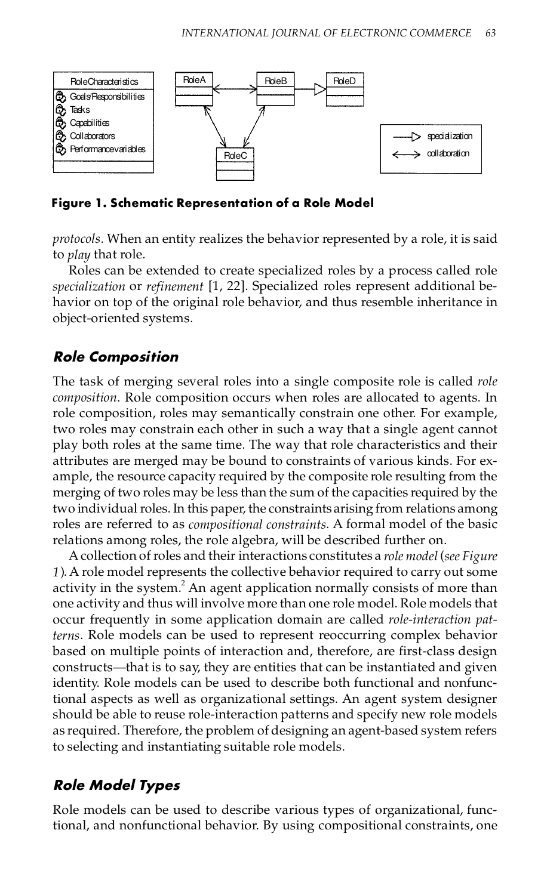

**Figure 1. Schematic Representation of a Role Model**

*protocols*. When an entity realizes the behavior represented by a role, it is said to *play* that role.

Roles can be extended to create specialized roles by a process called role *specialization* or *refinement* [1, 22]. Specialized roles represent additional behavior on top of the original role behavior, and thus resemble inheritance in object-oriented systems.

## *Role Composition*

The task of merging several roles into a single composite role is called *role composition*. Role composition occurs when roles are allocated to agents. In role composition, roles may semantically constrain one other. For example, two roles may constrain each other in such a way that a single agent cannot play both roles at the same time. The way that role characteristics and their attributes are merged may be bound to constraints of various kinds. For example, the resource capacity required by the composite role resulting from the merging of two roles may be less than the sum of the capacities required by the two individual roles. In this paper, the constraints arising from relations among roles are referred to as *compositional constraints*. A formal model of the basic relations among roles, the role algebra, will be described further on.

A collection of roles and their interactions constitutes a *role model* (*see Figure 1*). A role model represents the collective behavior required to carry out some activity in the system.<sup>2</sup> An agent application normally consists of more than one activity and thus will involve more than one role model. Role models that occur frequently in some application domain are called *role-interaction patterns*. Role models can be used to represent reoccurring complex behavior based on multiple points of interaction and, therefore, are first-class design constructs—that is to say, they are entities that can be instantiated and given identity. Role models can be used to describe both functional and nonfunctional aspects as well as organizational settings. An agent system designer should be able to reuse role-interaction patterns and specify new role models as required. Therefore, the problem of designing an agent-based system refers to selecting and instantiating suitable role models.

## *Role Model Types*

Role models can be used to describe various types of organizational, functional, and nonfunctional behavior. By using compositional constraints, one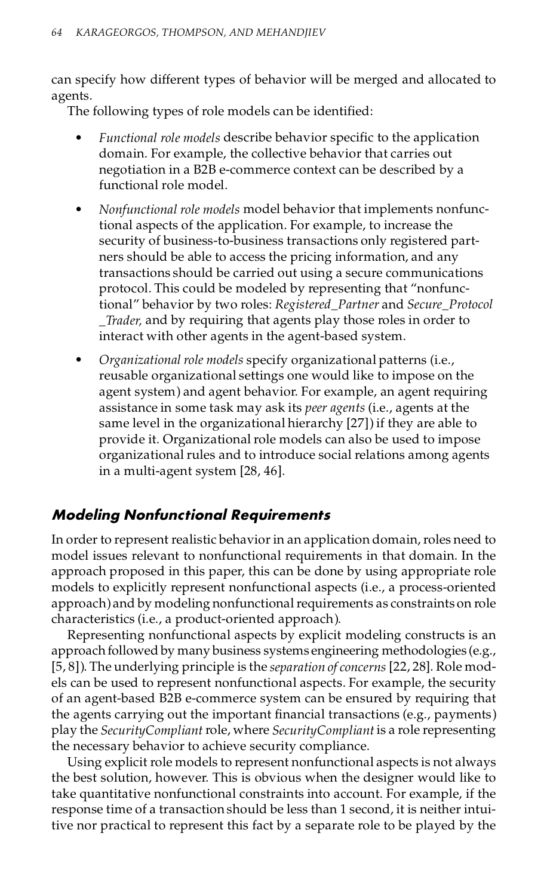can specify how different types of behavior will be merged and allocated to agents.

The following types of role models can be identified:

- *Functional role models* describe behavior specific to the application domain. For example, the collective behavior that carries out negotiation in a B2B e-commerce context can be described by a functional role model.
- *Nonfunctional role models* model behavior that implements nonfunctional aspects of the application. For example, to increase the security of business-to-business transactions only registered partners should be able to access the pricing information, and any transactions should be carried out using a secure communications protocol. This could be modeled by representing that "nonfunctional" behavior by two roles: *Registered\_Partner* and *Secure\_Protocol \_Trader,* and by requiring that agents play those roles in order to interact with other agents in the agent-based system.
- *Organizational role models* specify organizational patterns (i.e., reusable organizational settings one would like to impose on the agent system) and agent behavior. For example, an agent requiring assistance in some task may ask its *peer agents* (i.e., agents at the same level in the organizational hierarchy [27]) if they are able to provide it. Organizational role models can also be used to impose organizational rules and to introduce social relations among agents in a multi-agent system [28, 46].

## *Modeling Nonfunctional Requirements*

In order to represent realistic behavior in an application domain, roles need to model issues relevant to nonfunctional requirements in that domain. In the approach proposed in this paper, this can be done by using appropriate role models to explicitly represent nonfunctional aspects (i.e., a process-oriented approach)and by modeling nonfunctional requirements as constraints on role characteristics (i.e., a product-oriented approach).

Representing nonfunctional aspects by explicit modeling constructs is an approach followed by many business systems engineering methodologies (e.g., [5, 8]). The underlying principle is the *separation of concerns* [22, 28]. Role models can be used to represent nonfunctional aspects. For example, the security of an agent-based B2B e-commerce system can be ensured by requiring that the agents carrying out the important financial transactions (e.g., payments) play the *SecurityCompliant*role, where *SecurityCompliant* is a role representing the necessary behavior to achieve security compliance.

Using explicit role models to represent nonfunctional aspects is not always the best solution, however. This is obvious when the designer would like to take quantitative nonfunctional constraints into account. For example, if the response time of a transaction should be less than 1 second, it is neither intuitive nor practical to represent this fact by a separate role to be played by the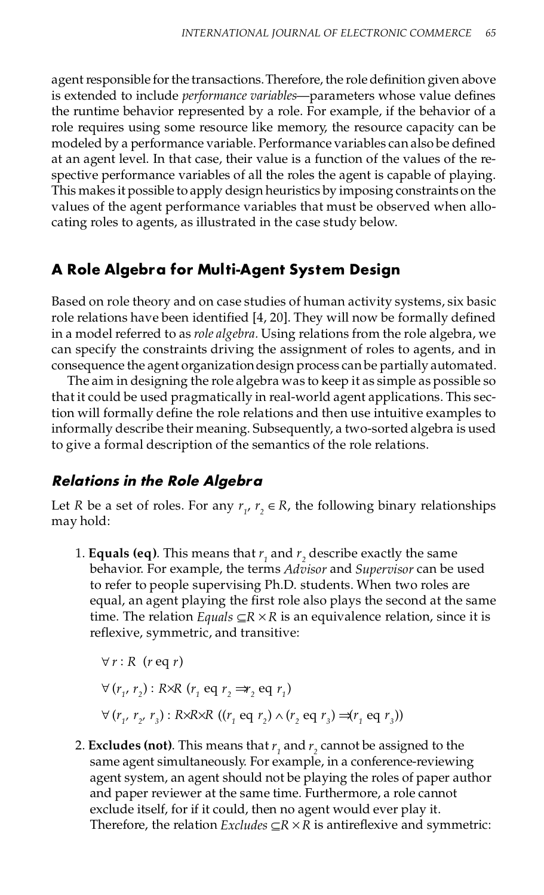agent responsible for the transactions. Therefore, the role definition given above is extended to include *performance variables*—parameters whose value defines the runtime behavior represented by a role. For example, if the behavior of a role requires using some resource like memory, the resource capacity can be modeled by a performance variable. Performance variables can also be defined at an agent level. In that case, their value is a function of the values of the respective performance variables of all the roles the agent is capable of playing. This makes it possible to apply design heuristics by imposing constraints on the values of the agent performance variables that must be observed when allocating roles to agents, as illustrated in the case study below.

## **A Role Algebra for Multi-Agent System Design**

Based on role theory and on case studies of human activity systems, six basic role relations have been identified [4, 20]. They will now be formally defined in a model referred to as *role algebra.* Using relations from the role algebra, we can specify the constraints driving the assignment of roles to agents, and in consequence the agent organization design process can be partially automated.

The aim in designing the role algebra was to keep it as simple as possible so that it could be used pragmatically in real-world agent applications. This section will formally define the role relations and then use intuitive examples to informally describe their meaning. Subsequently, a two-sorted algebra is used to give a formal description of the semantics of the role relations.

## *Relations in the Role Algebra*

Let *R* be a set of roles. For any  $r_1$ ,  $r_2 \in R$ , the following binary relationships may hold:

1. **Equals (eq)**. This means that  $r_1$  and  $r_2$  describe exactly the same behavior. For example, the terms *Advisor* and *Supervisor* can be used to refer to people supervising Ph.D. students. When two roles are equal, an agent playing the first role also plays the second at the same time. The relation *Equals*  $\subseteq R \times R$  is an equivalence relation, since it is reflexive, symmetric, and transitive:

$$
\forall r: R \ (r \text{ eq } r)
$$
  

$$
\forall (r_1, r_2): R \times R \ (r_1 \text{ eq } r_2 \implies r_2 \text{ eq } r_1)
$$
  

$$
\forall (r_1, r_2, r_3): R \times R \times R \ ((r_1 \text{ eq } r_2) \land (r_2 \text{ eq } r_3) \implies (r_1 \text{ eq } r_3))
$$

2. **Excludes (not)**. This means that  $r_{_1}$  and  $r_{_2}$  cannot be assigned to the same agent simultaneously. For example, in a conference-reviewing agent system, an agent should not be playing the roles of paper author and paper reviewer at the same time. Furthermore, a role cannot exclude itself, for if it could, then no agent would ever play it. Therefore, the relation *Excludes*  $\subseteq R \times R$  is antireflexive and symmetric: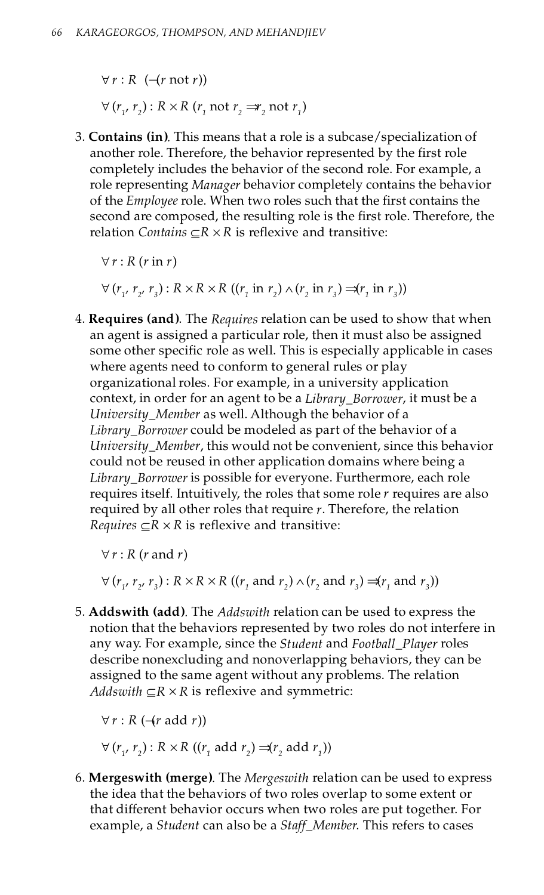$\forall r : R \; (-r \text{ not } r))$  $\forall$  ( $r_1$ ,  $r_2$ ):  $R \times R$  ( $r_1$  not  $r_2 \implies_2$  not  $r_1$ )

3. **Contains (in)***.* This means that a role is a subcase/specialization of another role. Therefore, the behavior represented by the first role completely includes the behavior of the second role. For example, a role representing *Manager* behavior completely contains the behavior of the *Employee* role. When two roles such that the first contains the second are composed, the resulting role is the first role. Therefore, the *relation Contains*  $\subseteq R \times R$  *is reflexive and transitive:* 

 $\forall r$  :  $R$  ( $r$  in  $r$ )

 $\forall (r_1, r_2, r_3) : R \times R \times R \ ( (r_1 \text{ in } r_2) \wedge (r_2 \text{ in } r_3) \implies (r_1 \text{ in } r_3))$ 

4. **Requires (and)**. The *Requires* relation can be used to show that when an agent is assigned a particular role, then it must also be assigned some other specific role as well. This is especially applicable in cases where agents need to conform to general rules or play organizational roles. For example, in a university application context, in order for an agent to be a *Library\_Borrower*, it must be a *University\_Member* as well. Although the behavior of a *Library\_Borrower* could be modeled as part of the behavior of a *University\_Member*, this would not be convenient, since this behavior could not be reused in other application domains where being a *Library\_Borrower* is possible for everyone. Furthermore, each role requires itself. Intuitively, the roles that some role *r* requires are also required by all other roles that require *r*. Therefore, the relation *Requires*  $\subseteq$ *R*  $\times$ *R* is reflexive and transitive:

 $\forall r$  : *R* (*r* and *r*)

 $\forall$  ( $r_1, r_2, r_3$ ) :  $R \times R \times R$  (( $r_1$  and  $r_2$ )  $\land$  ( $r_2$  and  $r_3$ )  $\Rightarrow$  ( $r_1$  and  $r_3$ ))

5. **Addswith (add)***.* The *Addswith* relation can be used to express the notion that the behaviors represented by two roles do not interfere in any way. For example, since the *Student* and *Football\_Player* roles describe nonexcluding and nonoverlapping behaviors, they can be assigned to the same agent without any problems. The relation *Addswith*  $\subseteq$ *R*  $\times$ *R* is reflexive and symmetric:

 $\forall r$  : *R* ( $\exists (r \text{ add } r)$ )

 $\forall$  ( $r_1$ ,  $r_2$ ) :  $R \times R$  (( $r_1$  add  $r_2$ )  $\Rightarrow$ ( $r_2$  add  $r_1$ ))

6. **Mergeswith (merge)***.* The *Mergeswith* relation can be used to express the idea that the behaviors of two roles overlap to some extent or that different behavior occurs when two roles are put together. For example, a *Student* can also be a *Staff\_Member.* This refers to cases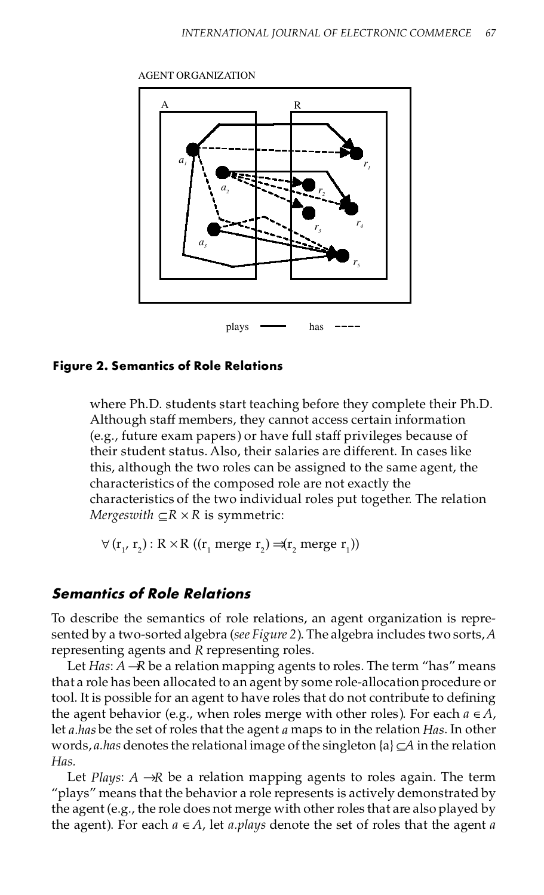

#### AGENT ORGANISATION AGENT ORGANIZATION

### **Figure 2. Semantics of Role Relations**

where Ph.D. students start teaching before they complete their Ph.D. Although staff members, they cannot access certain information (e.g., future exam papers) or have full staff privileges because of their student status. Also, their salaries are different. In cases like this, although the two roles can be assigned to the same agent, the characteristics of the composed role are not exactly the characteristics of the two individual roles put together. The relation *Mergeswith*  $\subset$ *R*  $\times$ *R* is symmetric:

$$
\forall (r_1, r_2): R \times R \ ((r_1 \text{ merge } r_2) \implies (r_2 \text{merge } r_1))
$$

### *Semantics of Role Relations*

To describe the semantics of role relations, an agent organization is represented by a two-sorted algebra (*see Figure 2*). The algebra includes two sorts, *A* representing agents and *R* representing roles.

Let *Has*: *A*  $\rightarrow$ *R* be a relation mapping agents to roles. The term "has" means that a role has been allocated to an agent by some role-allocation procedure or tool. It is possible for an agent to have roles that do not contribute to defining the agent behavior (e.g., when roles merge with other roles). For each  $a \in A$ , let *a.has* be the set of roles that the agent *a* maps to in the relation *Has*. In other words, *a.has* denotes the relational image of the singleton  $\{a\} \subset A$  in the relation *Has.*

Let *Plays*:  $A \rightarrow R$  be a relation mapping agents to roles again. The term "plays" means that the behavior a role represents is actively demonstrated by the agent (e.g., the role does not merge with other roles that are also played by the agent). For each  $a \in A$ , let *a.plays* denote the set of roles that the agent *a*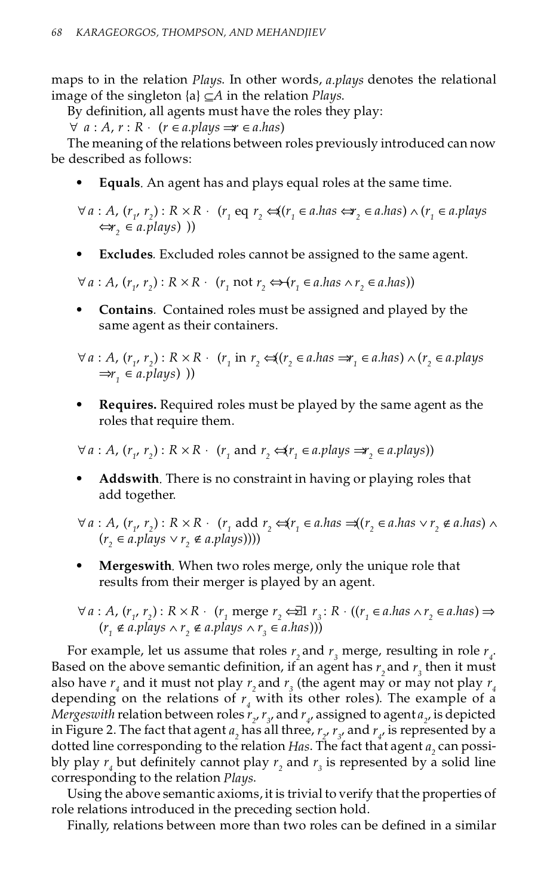maps to in the relation *Plays*. In other words, *a.plays* denotes the relational image of the singleton  ${a} \subseteq A$  in the relation *Plays*.

By definition, all agents must have the roles they play:

 $\forall$   $a : A, r : R \cdot (r \in a$ . *plays*  $\Rightarrow r \in a$ . *has*)

The meaning of the relations between roles previously introduced can now be described as follows:

**Equals***.* An agent has and plays equal roles at the same time.

 $\forall a:A, (r_1, r_2): R \times R \cdot (r_1 \text{ eq } r_2 \Leftrightarrow (r_1 \in a.has \Leftrightarrow r_2 \in a.has) \wedge (r_1 \in a.p \land s)$  $\Leftrightarrow$   $\leq$  *a.plays*) ))

**Excludes***.* Excluded roles cannot be assigned to the same agent.

 $\forall a:A, (r_1, r_2): R \times R \cdot (r_1 \text{ not } r_2 \Longleftrightarrow (r_1 \in a.has \land r_2 \in a.has))$ 

 **Contains***.* Contained roles must be assigned and played by the same agent as their containers.

 $\forall a:A, (r_1, r_2): R \times R \cdot (r_1 \text{ in } r_2 \Leftrightarrow (r_2 \in a.has \implies r_1 \in a.has) \wedge (r_2 \in a.plays)$  $\Rightarrow$   $r_1 \in a. plays)$ )

 **Requires.** Required roles must be played by the same agent as the roles that require them.

 $\forall a : A, (r_1, r_2) : R \times R \cdot (r_1 \text{ and } r_2 \Leftrightarrow (r_1 \in a \text{. plays } \implies r_2 \in a \text{. plays})$ 

 **Addswith***.* There is no constraint in having or playing roles that add together.

 $\forall a:A, (r_1, r_2): R \times R \cdot (r_1 \text{ add } r_2 \Leftrightarrow (r_1 \in a.has \rightrightarrows (r_2 \in a.has \vee r_2 \notin a.has) \land$  $(r_2 \in a$ .plays  $\lor r_2 \notin a$ .plays))))

- **Mergeswith***.* When two roles merge, only the unique role that results from their merger is played by an agent.
- $\forall a:A, (r_1, r_2): R \times R \cdot (r_1 \text{ merge } r_2 \Longleftrightarrow 1 \ r_3: R \cdot ((r_1 \in a.has \land r_2 \in a.has) \Rightarrow$  $(r_1 \notin a$ .plays  $\land r_2 \notin a$ .plays  $\land r_3 \in a$ .has)))

For example, let us assume that roles  $r_2$  and  $r_3$  merge, resulting in role  $r_4$ . Based on the above semantic definition, if an agent has  $r_2$  and  $r_3$  then it must also have  $r_4$  and it must not play  $r_2$  and  $r_3$  (the agent may or may not play  $r_4$ depending on the relations of  $r_4$  with its other roles). The example of a  $M$ ergeswith relation between roles  $r_{2'}$ ,  $r_{3'}$  and  $r_{4'}$  assigned to agent  $a_{2'}$  is depicted in Figure 2. The fact that agent  $a_{_2}$  has all three,  $r_{_2'}$ ,  $r_{_{3'}}$  and  $r_{_{4'}}$  is represented by a dotted line corresponding to the relation *Has*. The fact that agent  $a_{2}$  can possibly play  $r_4$  but definitely cannot play  $r_2$  and  $r_3$  is represented by a solid line corresponding to the relation *Plays*.

Using the above semantic axioms, it is trivial to verify that the properties of role relations introduced in the preceding section hold.

Finally, relations between more than two roles can be defined in a similar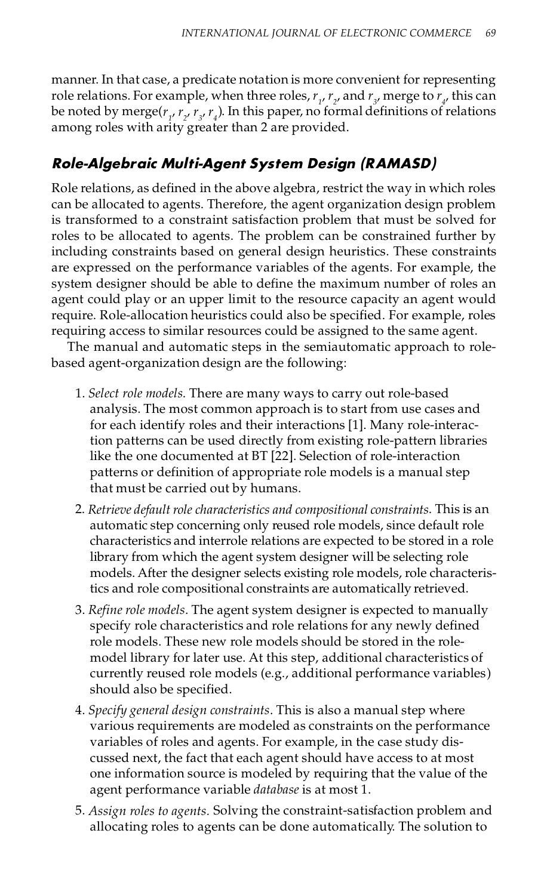manner. In that case, a predicate notation is more convenient for representing role relations. For example, when three roles,  $r_{1}$ ,  $r_{2}$ , and  $r_{3}$ , merge to  $r_{4}$ , this can be noted by merge( $r_{1}$ ,  $r_{2}$ ,  $r_{3}$ ,  $r_{4}$ ). In this paper, no formal definitions of relations among roles with arity greater than 2 are provided.

## *Role-Algebraic Multi-Agent System Design (RAMASD)*

Role relations, as defined in the above algebra, restrict the way in which roles can be allocated to agents. Therefore, the agent organization design problem is transformed to a constraint satisfaction problem that must be solved for roles to be allocated to agents. The problem can be constrained further by including constraints based on general design heuristics. These constraints are expressed on the performance variables of the agents. For example, the system designer should be able to define the maximum number of roles an agent could play or an upper limit to the resource capacity an agent would require. Role-allocation heuristics could also be specified. For example, roles requiring access to similar resources could be assigned to the same agent.

The manual and automatic steps in the semiautomatic approach to rolebased agent-organization design are the following:

- 1. *Select role models*. There are many ways to carry out role-based analysis. The most common approach is to start from use cases and for each identify roles and their interactions [1]. Many role-interaction patterns can be used directly from existing role-pattern libraries like the one documented at BT [22]. Selection of role-interaction patterns or definition of appropriate role models is a manual step that must be carried out by humans.
- 2. *Retrieve default role characteristics and compositional constraints*. This is an automatic step concerning only reused role models, since default role characteristics and interrole relations are expected to be stored in a role library from which the agent system designer will be selecting role models. After the designer selects existing role models, role characteristics and role compositional constraints are automatically retrieved.
- 3. *Refine role models*. The agent system designer is expected to manually specify role characteristics and role relations for any newly defined role models. These new role models should be stored in the rolemodel library for later use. At this step, additional characteristics of currently reused role models (e.g., additional performance variables) should also be specified.
- 4. *Specify general design constraints*. This is also a manual step where various requirements are modeled as constraints on the performance variables of roles and agents. For example, in the case study discussed next, the fact that each agent should have access to at most one information source is modeled by requiring that the value of the agent performance variable *database* is at most 1.
- 5. *Assign roles to agents.* Solving the constraint-satisfaction problem and allocating roles to agents can be done automatically. The solution to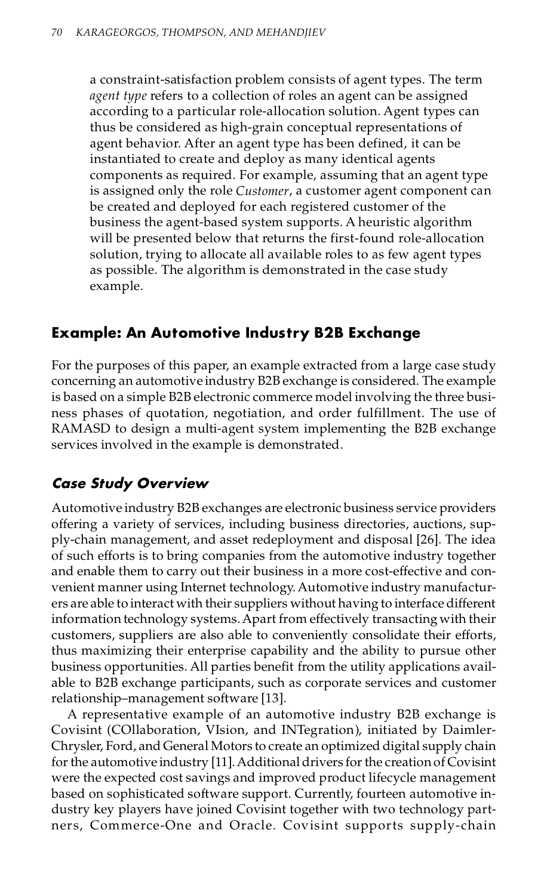a constraint-satisfaction problem consists of agent types. The term *agent type* refers to a collection of roles an agent can be assigned according to a particular role-allocation solution. Agent types can thus be considered as high-grain conceptual representations of agent behavior. After an agent type has been defined, it can be instantiated to create and deploy as many identical agents components as required. For example, assuming that an agent type is assigned only the role *Customer*, a customer agent component can be created and deployed for each registered customer of the business the agent-based system supports. A heuristic algorithm will be presented below that returns the first-found role-allocation solution, trying to allocate all available roles to as few agent types as possible. The algorithm is demonstrated in the case study example.

### **Example: An Automotive Industry B2B Exchange**

For the purposes of this paper, an example extracted from a large case study concerning an automotive industry B2B exchange is considered. The example is based on a simple B2B electronic commerce model involving the three business phases of quotation, negotiation, and order fulfillment. The use of RAMASD to design a multi-agent system implementing the B2B exchange services involved in the example is demonstrated.

## *Case Study Overview*

Automotive industry B2B exchanges are electronic business service providers offering a variety of services, including business directories, auctions, supply-chain management, and asset redeployment and disposal [26]. The idea of such efforts is to bring companies from the automotive industry together and enable them to carry out their business in a more cost-effective and convenient manner using Internet technology. Automotive industry manufacturers are able to interact with their suppliers without having to interface different information technology systems. Apart from effectively transacting with their customers, suppliers are also able to conveniently consolidate their efforts, thus maximizing their enterprise capability and the ability to pursue other business opportunities. All parties benefit from the utility applications available to B2B exchange participants, such as corporate services and customer relationship–management software [13].

A representative example of an automotive industry B2B exchange is Covisint (COllaboration, VIsion, and INTegration), initiated by Daimler-Chrysler, Ford, and General Motors to create an optimized digital supply chain for the automotive industry [11]. Additional drivers for the creation of Covisint were the expected cost savings and improved product lifecycle management based on sophisticated software support. Currently, fourteen automotive industry key players have joined Covisint together with two technology partners, Commerce-One and Oracle. Covisint supports supply-chain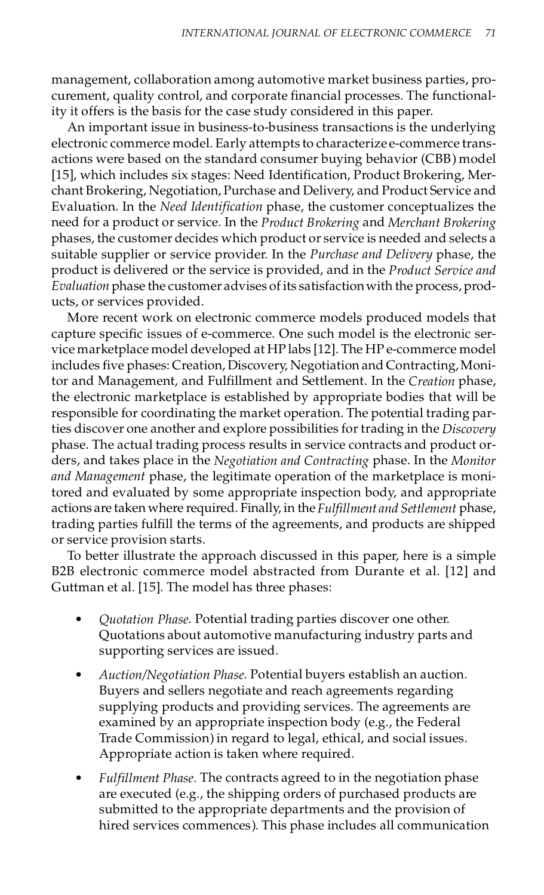management, collaboration among automotive market business parties, procurement, quality control, and corporate financial processes. The functionality it offers is the basis for the case study considered in this paper.

An important issue in business-to-business transactions is the underlying electronic commerce model. Early attempts to characterize e-commerce transactions were based on the standard consumer buying behavior (CBB) model [15], which includes six stages: Need Identification, Product Brokering, Merchant Brokering, Negotiation, Purchase and Delivery, and Product Service and Evaluation. In the *Need Identification* phase, the customer conceptualizes the need for a product or service. In the *Product Brokering* and *Merchant Brokering* phases, the customer decides which product or service is needed and selects a suitable supplier or service provider. In the *Purchase and Delivery* phase, the product is delivered or the service is provided, and in the *Product Service and Evaluation* phase the customer advises of its satisfaction with the process, products, or services provided.

More recent work on electronic commerce models produced models that capture specific issues of e-commerce. One such model is the electronic service marketplace model developed at HP labs [12]. The HP e-commerce model includes five phases: Creation, Discovery, Negotiation and Contracting, Monitor and Management, and Fulfillment and Settlement. In the *Creation* phase, the electronic marketplace is established by appropriate bodies that will be responsible for coordinating the market operation. The potential trading parties discover one another and explore possibilities for trading in the *Discovery* phase. The actual trading process results in service contracts and product orders, and takes place in the *Negotiation and Contracting* phase. In the *Monitor and Management* phase, the legitimate operation of the marketplace is monitored and evaluated by some appropriate inspection body, and appropriate actions are taken where required. Finally, in the *Fulfillment and Settlement* phase, trading parties fulfill the terms of the agreements, and products are shipped or service provision starts.

To better illustrate the approach discussed in this paper, here is a simple B2B electronic commerce model abstracted from Durante et al. [12] and Guttman et al. [15]. The model has three phases:

- *Quotation Phase*. Potential trading parties discover one other. Quotations about automotive manufacturing industry parts and supporting services are issued.
- *Auction/Negotiation Phase*. Potential buyers establish an auction. Buyers and sellers negotiate and reach agreements regarding supplying products and providing services. The agreements are examined by an appropriate inspection body (e.g., the Federal Trade Commission) in regard to legal, ethical, and social issues. Appropriate action is taken where required.
- *Fulfillment Phase.* The contracts agreed to in the negotiation phase are executed (e.g., the shipping orders of purchased products are submitted to the appropriate departments and the provision of hired services commences). This phase includes all communication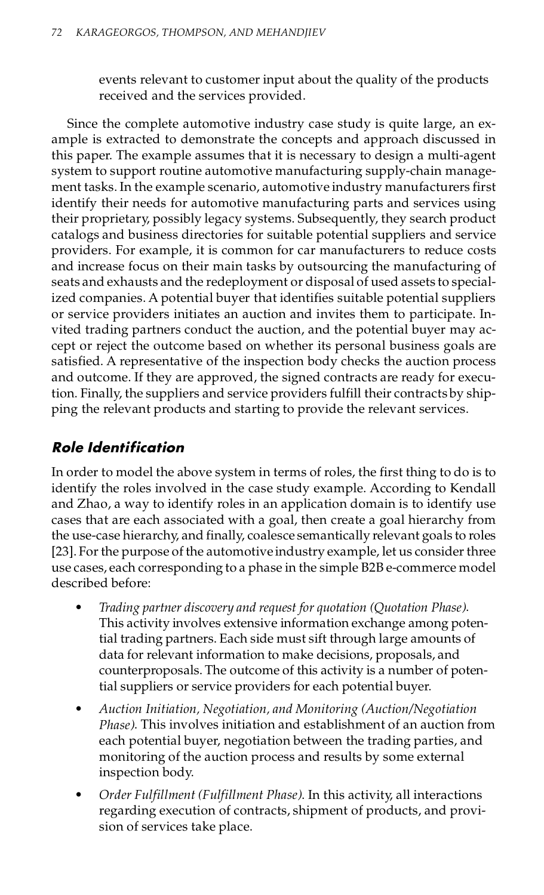events relevant to customer input about the quality of the products received and the services provided.

Since the complete automotive industry case study is quite large, an example is extracted to demonstrate the concepts and approach discussed in this paper. The example assumes that it is necessary to design a multi-agent system to support routine automotive manufacturing supply-chain management tasks. In the example scenario, automotive industry manufacturers first identify their needs for automotive manufacturing parts and services using their proprietary, possibly legacy systems. Subsequently, they search product catalogs and business directories for suitable potential suppliers and service providers. For example, it is common for car manufacturers to reduce costs and increase focus on their main tasks by outsourcing the manufacturing of seats and exhausts and the redeployment or disposal of used assets to specialized companies. A potential buyer that identifies suitable potential suppliers or service providers initiates an auction and invites them to participate. Invited trading partners conduct the auction, and the potential buyer may accept or reject the outcome based on whether its personal business goals are satisfied. A representative of the inspection body checks the auction process and outcome. If they are approved, the signed contracts are ready for execution. Finally, the suppliers and service providers fulfill their contracts by shipping the relevant products and starting to provide the relevant services.

# *Role Identification*

In order to model the above system in terms of roles, the first thing to do is to identify the roles involved in the case study example. According to Kendall and Zhao, a way to identify roles in an application domain is to identify use cases that are each associated with a goal, then create a goal hierarchy from the use-case hierarchy, and finally, coalesce semantically relevant goals to roles [23]. For the purpose of the automotive industry example, let us consider three use cases, each corresponding to a phase in the simple B2B e-commerce model described before:

- *Trading partner discovery and request for quotation (Quotation Phase)*. This activity involves extensive information exchange among potential trading partners. Each side must sift through large amounts of data for relevant information to make decisions, proposals, and counterproposals. The outcome of this activity is a number of potential suppliers or service providers for each potential buyer.
- *Auction Initiation, Negotiation, and Monitoring (Auction/Negotiation Phase)*. This involves initiation and establishment of an auction from each potential buyer, negotiation between the trading parties, and monitoring of the auction process and results by some external inspection body.
- *Order Fulfillment (Fulfillment Phase)*. In this activity, all interactions regarding execution of contracts, shipment of products, and provision of services take place.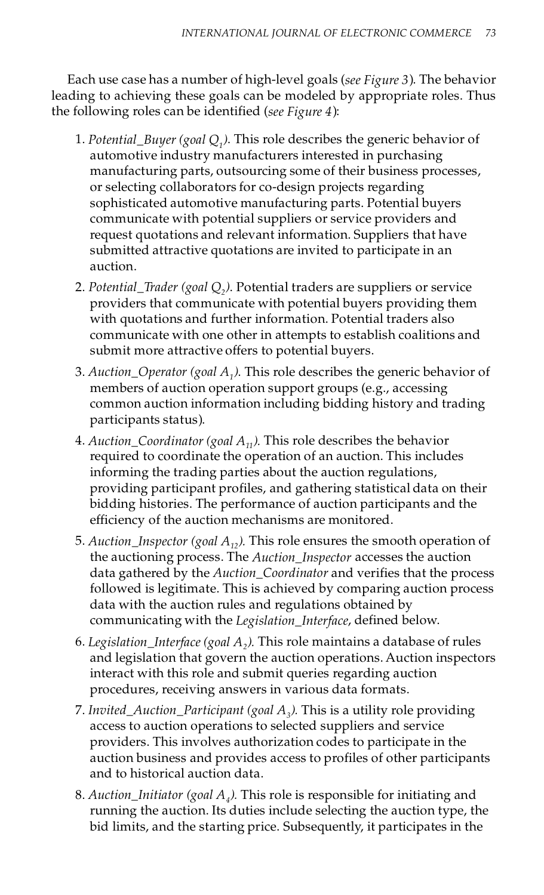Each use case has a number of high-level goals (*see Figure 3*). The behavior leading to achieving these goals can be modeled by appropriate roles. Thus the following roles can be identified (*see Figure 4*):

- 1. *Potential\_Buyer (goal Q1)*. This role describes the generic behavior of automotive industry manufacturers interested in purchasing manufacturing parts, outsourcing some of their business processes, or selecting collaborators for co-design projects regarding sophisticated automotive manufacturing parts. Potential buyers communicate with potential suppliers or service providers and request quotations and relevant information. Suppliers that have submitted attractive quotations are invited to participate in an auction.
- 2. *Potential\_Trader (goal Q2)*. Potential traders are suppliers or service providers that communicate with potential buyers providing them with quotations and further information. Potential traders also communicate with one other in attempts to establish coalitions and submit more attractive offers to potential buyers.
- 3. *Auction\_Operator (goal A1)*. This role describes the generic behavior of members of auction operation support groups (e.g., accessing common auction information including bidding history and trading participants status).
- 4. *Auction\_Coordinator (goal A11).* This role describes the behavior required to coordinate the operation of an auction. This includes informing the trading parties about the auction regulations, providing participant profiles, and gathering statistical data on their bidding histories. The performance of auction participants and the efficiency of the auction mechanisms are monitored.
- 5. *Auction\_Inspector (goal A12).* This role ensures the smooth operation of the auctioning process. The *Auction\_Inspector* accesses the auction data gathered by the *Auction\_Coordinator* and verifies that the process followed is legitimate. This is achieved by comparing auction process data with the auction rules and regulations obtained by communicating with the *Legislation\_Interface*, defined below.
- 6. *Legislation\_Interface (goal A2).* This role maintains a database of rules and legislation that govern the auction operations. Auction inspectors interact with this role and submit queries regarding auction procedures, receiving answers in various data formats.
- 7. *Invited\_Auction\_Participant (goal A3).* This is a utility role providing access to auction operations to selected suppliers and service providers. This involves authorization codes to participate in the auction business and provides access to profiles of other participants and to historical auction data.
- 8. *Auction\_Initiator (goal A4).* This role is responsible for initiating and running the auction. Its duties include selecting the auction type, the bid limits, and the starting price. Subsequently, it participates in the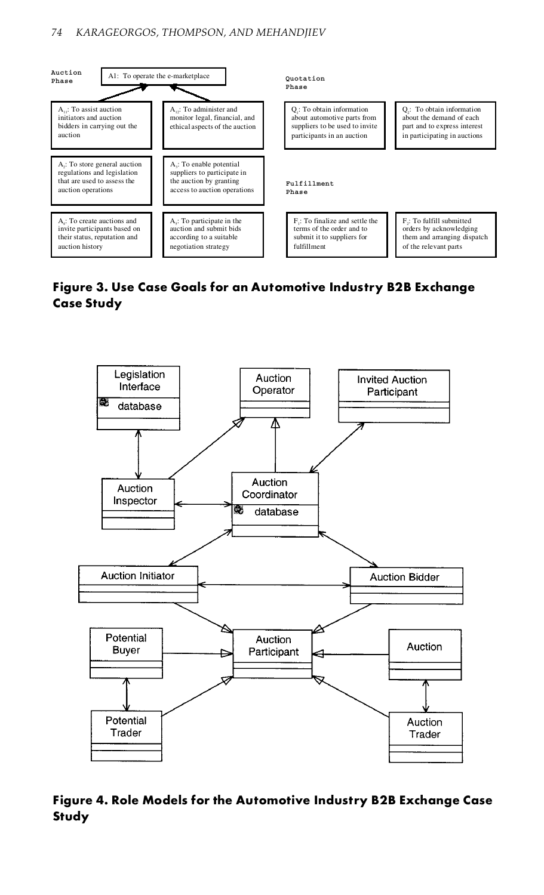

### **Figure 3. Use Case Goals for an Automotive Industry B2B Exchange Case Study**



**Figure 4. Role Models for the Automotive Industry B2B Exchange Case Study**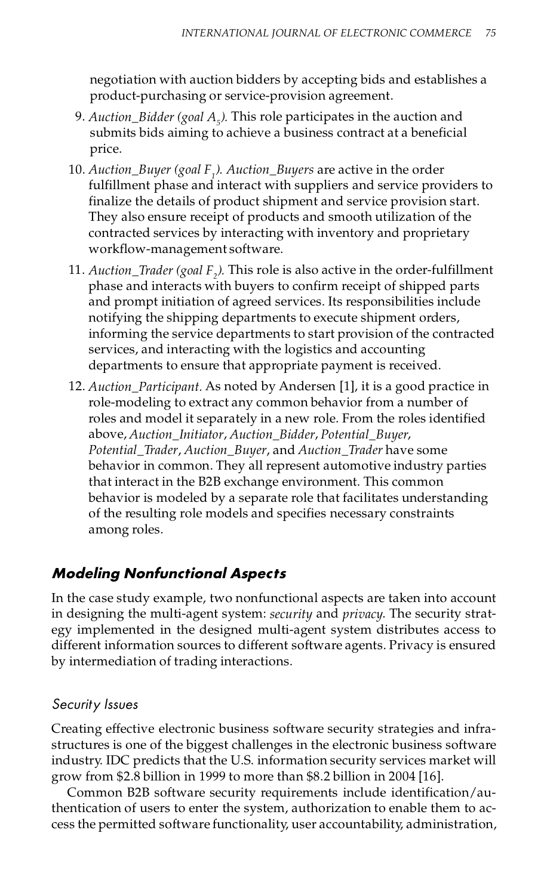negotiation with auction bidders by accepting bids and establishes a product-purchasing or service-provision agreement.

- 9. *Auction\_Bidder (goal A5).* This role participates in the auction and submits bids aiming to achieve a business contract at a beneficial price.
- 10. *Auction\_Buyer (goal F1). Auction\_Buyers* are active in the order fulfillment phase and interact with suppliers and service providers to finalize the details of product shipment and service provision start. They also ensure receipt of products and smooth utilization of the contracted services by interacting with inventory and proprietary workflow-management software.
- 11. *Auction\_Trader (goal F2).* This role is also active in the order-fulfillment phase and interacts with buyers to confirm receipt of shipped parts and prompt initiation of agreed services. Its responsibilities include notifying the shipping departments to execute shipment orders, informing the service departments to start provision of the contracted services, and interacting with the logistics and accounting departments to ensure that appropriate payment is received.
- 12. *Auction\_Participant.* As noted by Andersen [1], it is a good practice in role-modeling to extract any common behavior from a number of roles and model it separately in a new role. From the roles identified above, *Auction\_Initiator*, *Auction\_Bidder*, *Potential\_Buyer*, *Potential\_Trader*, *Auction\_Buyer*, and *Auction\_Trader* have some behavior in common. They all represent automotive industry parties that interact in the B2B exchange environment. This common behavior is modeled by a separate role that facilitates understanding of the resulting role models and specifies necessary constraints among roles.

## *Modeling Nonfunctional Aspects*

In the case study example, two nonfunctional aspects are taken into account in designing the multi-agent system: *security* and *privacy*. The security strategy implemented in the designed multi-agent system distributes access to different information sources to different software agents. Privacy is ensured by intermediation of trading interactions.

### *Security Issues*

Creating effective electronic business software security strategies and infrastructures is one of the biggest challenges in the electronic business software industry. IDC predicts that the U.S. information security services market will grow from \$2.8 billion in 1999 to more than \$8.2 billion in 2004 [16].

Common B2B software security requirements include identification/authentication of users to enter the system, authorization to enable them to access the permitted software functionality, user accountability, administration,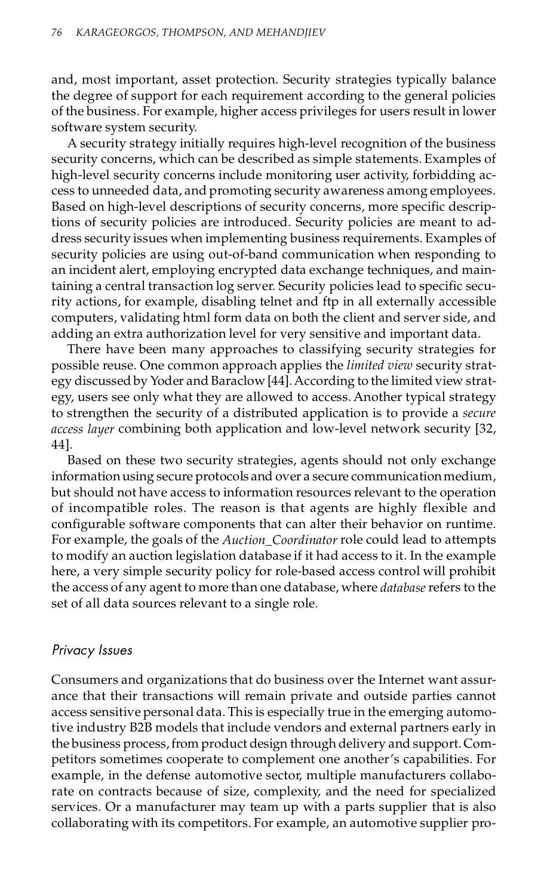and, most important, asset protection. Security strategies typically balance the degree of support for each requirement according to the general policies of the business. For example, higher access privileges for users result in lower software system security.

A security strategy initially requires high-level recognition of the business security concerns, which can be described as simple statements. Examples of high-level security concerns include monitoring user activity, forbidding access to unneeded data, and promoting security awareness among employees. Based on high-level descriptions of security concerns, more specific descriptions of security policies are introduced. Security policies are meant to address security issues when implementing business requirements. Examples of security policies are using out-of-band communication when responding to an incident alert, employing encrypted data exchange techniques, and maintaining a central transaction log server. Security policies lead to specific security actions, for example, disabling telnet and ftp in all externally accessible computers, validating html form data on both the client and server side, and adding an extra authorization level for very sensitive and important data.

There have been many approaches to classifying security strategies for possible reuse. One common approach applies the *limited view* security strategy discussed by Yoder and Baraclow [44]. According to the limited view strategy, users see only what they are allowed to access. Another typical strategy to strengthen the security of a distributed application is to provide a *secure access layer* combining both application and low-level network security [32, 44].

Based on these two security strategies, agents should not only exchange information using secure protocols and over a secure communication medium, but should not have access to information resources relevant to the operation of incompatible roles. The reason is that agents are highly flexible and configurable software components that can alter their behavior on runtime. For example, the goals of the *Auction\_Coordinator* role could lead to attempts to modify an auction legislation database if it had access to it. In the example here, a very simple security policy for role-based access control will prohibit the access of any agent to more than one database, where *database* refers to the set of all data sources relevant to a single role.

#### *Privacy Issues*

Consumers and organizations that do business over the Internet want assurance that their transactions will remain private and outside parties cannot access sensitive personal data. This is especially true in the emerging automotive industry B2B models that include vendors and external partners early in the business process, from product design through delivery and support. Competitors sometimes cooperate to complement one another's capabilities. For example, in the defense automotive sector, multiple manufacturers collaborate on contracts because of size, complexity, and the need for specialized services. Or a manufacturer may team up with a parts supplier that is also collaborating with its competitors. For example, an automotive supplier pro-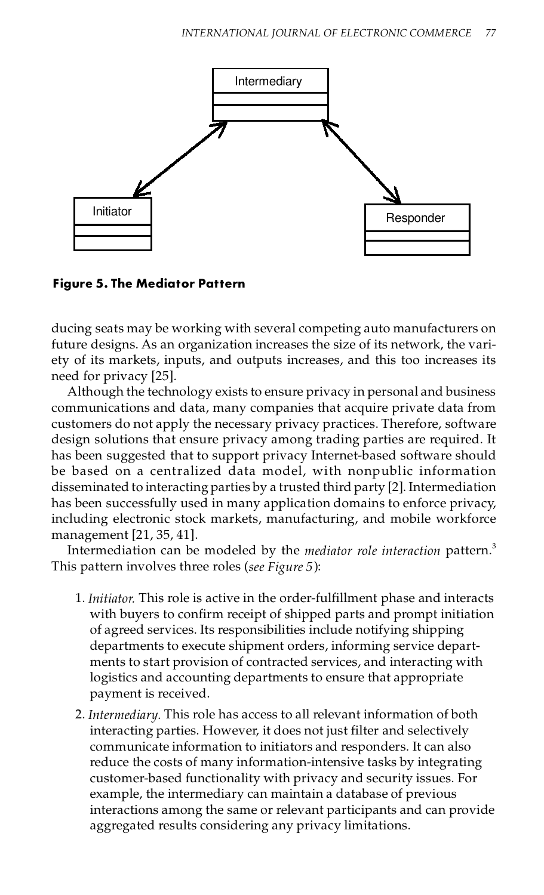

**Figure 5. The Mediator Pattern**

ducing seats may be working with several competing auto manufacturers on future designs. As an organization increases the size of its network, the variety of its markets, inputs, and outputs increases, and this too increases its need for privacy [25].

Although the technology exists to ensure privacy in personal and business communications and data, many companies that acquire private data from customers do not apply the necessary privacy practices. Therefore, software design solutions that ensure privacy among trading parties are required. It has been suggested that to support privacy Internet-based software should be based on a centralized data model, with nonpublic information disseminated to interacting parties by a trusted third party [2]. Intermediation has been successfully used in many application domains to enforce privacy, including electronic stock markets, manufacturing, and mobile workforce management [21, 35, 41].

Intermediation can be modeled by the *mediator role interaction* pattern.<sup>3</sup> This pattern involves three roles (*see Figure 5*):

- 1. *Initiator.* This role is active in the order-fulfillment phase and interacts with buyers to confirm receipt of shipped parts and prompt initiation of agreed services. Its responsibilities include notifying shipping departments to execute shipment orders, informing service departments to start provision of contracted services, and interacting with logistics and accounting departments to ensure that appropriate payment is received.
- 2. *Intermediary.* This role has access to all relevant information of both interacting parties. However, it does not just filter and selectively communicate information to initiators and responders. It can also reduce the costs of many information-intensive tasks by integrating customer-based functionality with privacy and security issues. For example, the intermediary can maintain a database of previous interactions among the same or relevant participants and can provide aggregated results considering any privacy limitations.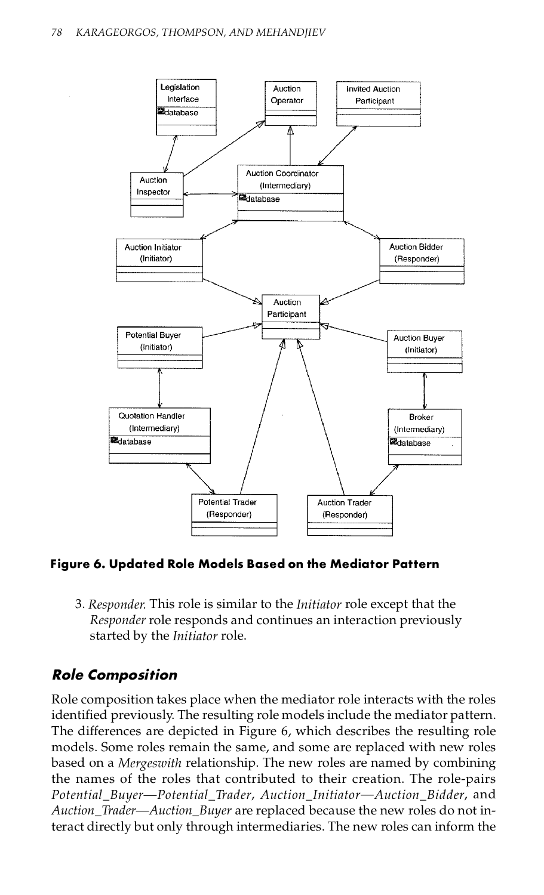

**Figure 6. Updated Role Models Based on the Mediator Pattern**

3. *Responder.* This role is similar to the *Initiator* role except that the *Responder* role responds and continues an interaction previously started by the *Initiator* role.

## *Role Composition*

Role composition takes place when the mediator role interacts with the roles identified previously. The resulting role models include the mediator pattern. The differences are depicted in Figure 6, which describes the resulting role models. Some roles remain the same, and some are replaced with new roles based on a *Mergeswith* relationship. The new roles are named by combining the names of the roles that contributed to their creation. The role-pairs *Potential\_Buyer—Potential\_Trader*, *Auction\_Initiator*—*Auction\_Bidder*, and *Auction\_Trader—Auction\_Buyer* are replaced because the new roles do not interact directly but only through intermediaries. The new roles can inform the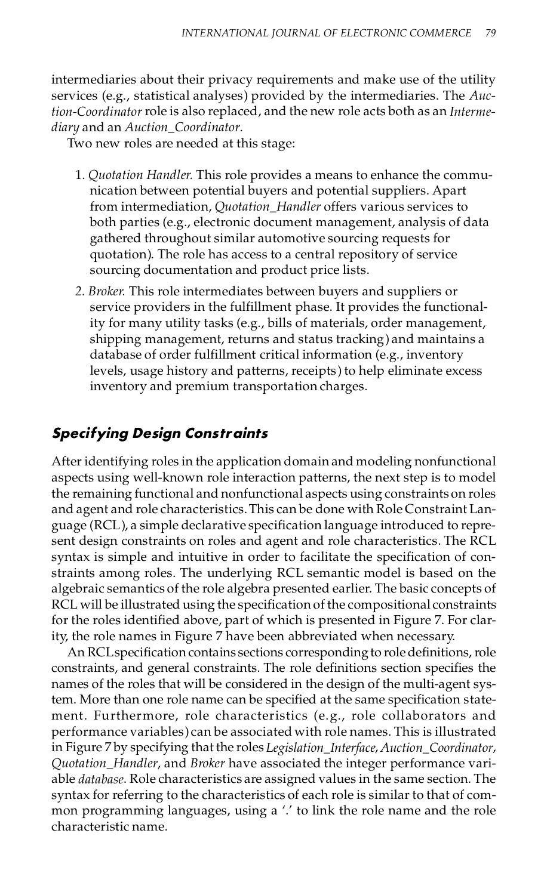intermediaries about their privacy requirements and make use of the utility services (e.g., statistical analyses) provided by the intermediaries. The *Auction-Coordinator*role is also replaced, and the new role acts both as an *Intermediary* and an *Auction\_Coordinator*.

Two new roles are needed at this stage:

- 1. *Quotation Handler.* This role provides a means to enhance the communication between potential buyers and potential suppliers. Apart from intermediation, *Quotation\_Handler* offers various services to both parties (e.g., electronic document management, analysis of data gathered throughout similar automotive sourcing requests for quotation). The role has access to a central repository of service sourcing documentation and product price lists.
- *2. Broker.* This role intermediates between buyers and suppliers or service providers in the fulfillment phase. It provides the functionality for many utility tasks (e.g., bills of materials, order management, shipping management, returns and status tracking) and maintains a database of order fulfillment critical information (e.g., inventory levels, usage history and patterns, receipts) to help eliminate excess inventory and premium transportation charges.

# *Specifying Design Constraints*

After identifying roles in the application domain and modeling nonfunctional aspects using well-known role interaction patterns, the next step is to model the remaining functional and nonfunctional aspects using constraints on roles and agent and role characteristics. This can be done with Role Constraint Language (RCL), a simple declarative specification language introduced to represent design constraints on roles and agent and role characteristics. The RCL syntax is simple and intuitive in order to facilitate the specification of constraints among roles. The underlying RCL semantic model is based on the algebraic semantics of the role algebra presented earlier. The basic concepts of RCL will be illustrated using the specification of the compositional constraints for the roles identified above, part of which is presented in Figure 7. For clarity, the role names in Figure 7 have been abbreviated when necessary.

An RCLspecification contains sections corresponding to role definitions, role constraints, and general constraints. The role definitions section specifies the names of the roles that will be considered in the design of the multi-agent system. More than one role name can be specified at the same specification statement. Furthermore, role characteristics (e.g., role collaborators and performance variables) can be associated with role names. This is illustrated in Figure 7 by specifying that the roles *Legislation\_Interface*, *Auction\_Coordinator*, *Quotation\_Handler*, and *Broker* have associated the integer performance variable *database*. Role characteristics are assigned values in the same section. The syntax for referring to the characteristics of each role is similar to that of common programming languages, using a '.' to link the role name and the role characteristic name.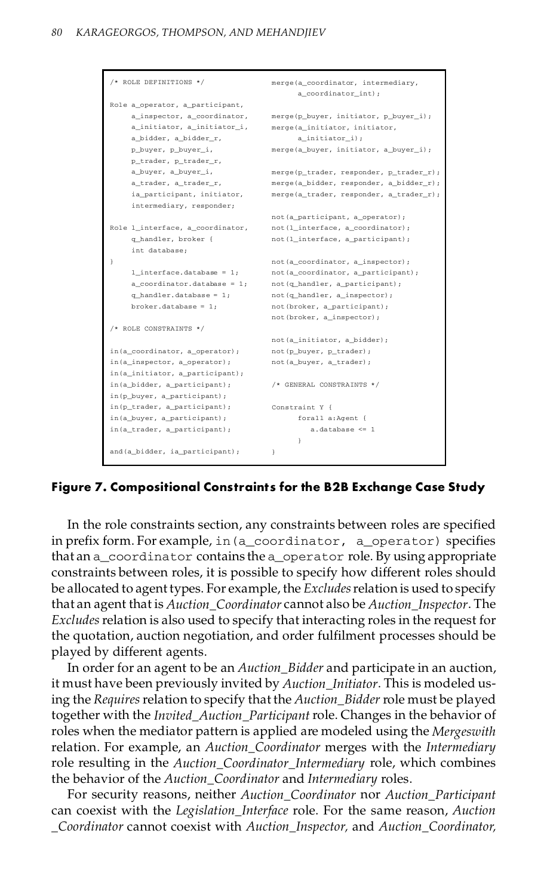```
merge(a_coordinator, intermediary, 
                                           a_coordinator_int);
                                   merge(p_buyer, initiator, p_buyer_i); 
                                   merge(a_initiator, initiator, 
                                           a_initiator_i);
                                    merge(a_buyer, initiator, a_buyer_i); 
                                    merge(p_trader, responder, p_trader_r); 
                                    merge(a_bidder, responder, a_bidder_r); 
                                    merge(a_trader, responder, a_trader_r); 
                                    not(a_participant, a_operator); 
                                    not(l_interface, a_coordinator); 
                                     not(1_interface, a_participant);
                                    not(a_coordinator, a_inspector); 
                                    not(a_coordinator, a_participant); 
                                    not(q_handler, a_participant); 
                                    not(q_handler, a_inspector); 
                                    not(broker, a_participant); 
                                    not(broker, a_inspector); 
                                    not(a_initiator, a_bidder);
                                    not(p_buyer, p_trader); 
                                    not(a_buyer, a_trader); 
                                    /* GENERAL CONSTRAINTS */
                                    Constraint Y { 
                                          forall a:Agent { 
                                              a.database <= 1 
                                            } 
                                     } 
/* ROLE DEFINITIONS */
Role a_operator, a_participant, 
    a_inspector, a_coordinator, 
    a_initiator, a_initiator_i, 
    a bidder, a bidder r.
    p_buyer, p_buyer_i, 
    p_trader, p_trader_r, 
    a_buyer, a_buyer_i, 
     a_trader, a_trader_r, 
     ia_participant, initiator, 
     intermediary, responder; 
Role l_interface, a_coordinator, 
    q_handler, broker { 
    int database; 
} 
    l_interface.database = 1; 
    a_coordinator.database = 1; 
     q_handler.database = 1; 
    broker.database = 1; 
/* ROLE CONSTRAINTS */
in(a_coordinator, a_operator); 
in(a_inspector, a_operator); 
in(a_initiator, a_participant); 
in(a_bidder, a_participant); 
in(p_buyer, a_participant); 
in(p_trader, a_participant);
in(a_buyer, a_participant); 
in(a_trader, a_participant); 
and(a_bidder, ia_participant);
```
#### **Figure 7. Compositional Constraints for the B2B Exchange Case Study**

In the role constraints section, any constraints between roles are specified in prefix form. For example, in(a\_coordinator, a\_operator) specifies that an a\_coordinator contains the a\_operator role. By using appropriate constraints between roles, it is possible to specify how different roles should be allocated to agent types. For example, the *Excludes* relation is used to specify that an agent that is *Auction\_Coordinator* cannot also be *Auction\_Inspector*. The *Excludes* relation is also used to specify that interacting roles in the request for the quotation, auction negotiation, and order fulfilment processes should be played by different agents.

In order for an agent to be an *Auction\_Bidder* and participate in an auction, it must have been previously invited by *Auction\_Initiator*. This is modeled using the *Requires* relation to specify that the *Auction\_Bidder* role must be played together with the *Invited\_Auction\_Participant*role. Changes in the behavior of roles when the mediator pattern is applied are modeled using the *Mergeswith* relation. For example, an *Auction\_Coordinator* merges with the *Intermediary* role resulting in the *Auction\_Coordinator\_Intermediary* role, which combines the behavior of the *Auction\_Coordinator* and *Intermediary* roles.

For security reasons, neither *Auction\_Coordinator* nor *Auction\_Participant* can coexist with the *Legislation\_Interface* role. For the same reason, *Auction \_Coordinator* cannot coexist with *Auction\_Inspector,* and *Auction\_Coordinator,*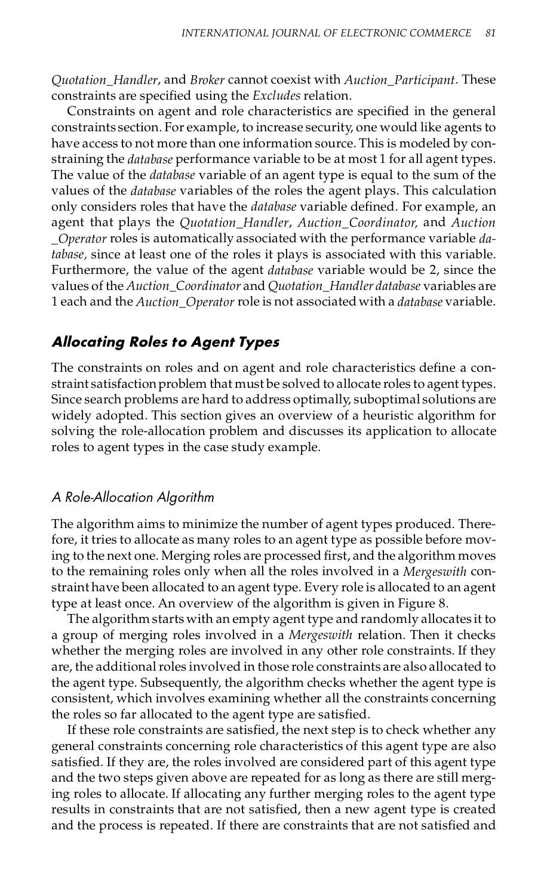*Quotation\_Handler*, and *Broker* cannot coexist with *Auction\_Participant*. These constraints are specified using the *Excludes* relation.

Constraints on agent and role characteristics are specified in the general constraints section. For example, to increase security, one would like agents to have access to not more than one information source. This is modeled by constraining the *database* performance variable to be at most 1 for all agent types. The value of the *database* variable of an agent type is equal to the sum of the values of the *database* variables of the roles the agent plays. This calculation only considers roles that have the *database* variable defined. For example, an agent that plays the *Quotation\_Handler*, *Auction\_Coordinator,* and *Auction \_Operator* roles is automatically associated with the performance variable *database,* since at least one of the roles it plays is associated with this variable. Furthermore, the value of the agent *database* variable would be 2, since the values of the *Auction\_Coordinator* and *Quotation\_Handler database* variables are 1 each and the *Auction\_Operator* role is not associated with a *database* variable.

### *Allocating Roles to Agent Types*

The constraints on roles and on agent and role characteristics define a constraint satisfaction problem that must be solved to allocate roles to agent types. Since search problems are hard to address optimally, suboptimal solutions are widely adopted. This section gives an overview of a heuristic algorithm for solving the role-allocation problem and discusses its application to allocate roles to agent types in the case study example.

#### *A Role-Allocation Algorithm*

The algorithm aims to minimize the number of agent types produced. Therefore, it tries to allocate as many roles to an agent type as possible before moving to the next one. Merging roles are processed first, and the algorithm moves to the remaining roles only when all the roles involved in a *Mergeswith* constraint have been allocated to an agent type. Every role is allocated to an agent type at least once. An overview of the algorithm is given in Figure 8.

The algorithm starts with an empty agent type and randomly allocates it to a group of merging roles involved in a *Mergeswith* relation. Then it checks whether the merging roles are involved in any other role constraints. If they are, the additional roles involved in those role constraints are also allocated to the agent type. Subsequently, the algorithm checks whether the agent type is consistent, which involves examining whether all the constraints concerning the roles so far allocated to the agent type are satisfied.

If these role constraints are satisfied, the next step is to check whether any general constraints concerning role characteristics of this agent type are also satisfied. If they are, the roles involved are considered part of this agent type and the two steps given above are repeated for as long as there are still merging roles to allocate. If allocating any further merging roles to the agent type results in constraints that are not satisfied, then a new agent type is created and the process is repeated. If there are constraints that are not satisfied and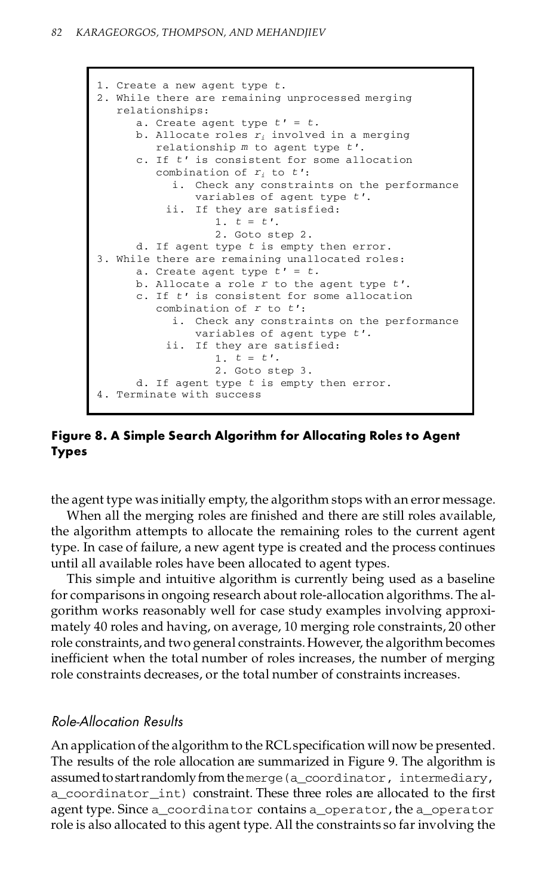```
1. Create a new agent type t. 
2. While there are remaining unprocessed merging 
   relationships: 
      a. Create agent type t' = t.
      b. Allocate roles ri involved in a merging 
         relationship m to agent type t'. 
      c. If t' is consistent for some allocation 
         combination of ri to t': 
            i. Check any constraints on the performance 
               variables of agent type t'. 
           ii. If they are satisfied: 
                  1. t = t'. 
                  2. Goto step 2. 
      d. If agent type t is empty then error. 
3. While there are remaining unallocated roles: 
      a. Create agent type t' = t.
      b. Allocate a role r to the agent type t'. 
      c. If t' is consistent for some allocation 
         combination of r to t': 
            i. Check any constraints on the performance 
               variables of agent type t'.
          ii. If they are satisfied: 
                  1. t = t'.
                  2. Goto step 3. 
      d. If agent type t is empty then error. 
4. Terminate with success
```
### **Figure 8. A Simple Search Algorithm for Allocating Roles to Agent Types**

the agent type was initially empty, the algorithm stops with an error message.

When all the merging roles are finished and there are still roles available, the algorithm attempts to allocate the remaining roles to the current agent type. In case of failure, a new agent type is created and the process continues until all available roles have been allocated to agent types.

This simple and intuitive algorithm is currently being used as a baseline for comparisons in ongoing research about role-allocation algorithms. The algorithm works reasonably well for case study examples involving approximately 40 roles and having, on average, 10 merging role constraints, 20 other role constraints, and two general constraints. However, the algorithm becomes inefficient when the total number of roles increases, the number of merging role constraints decreases, or the total number of constraints increases.

#### *Role-Allocation Results*

An application of the algorithm to the RCL specification will now be presented. The results of the role allocation are summarized in Figure 9. The algorithm is assumed to start randomly from the merge (a coordinator, intermediary, a\_coordinator\_int) constraint. These three roles are allocated to the first agent type. Since a\_coordinator contains a\_operator, the a\_operator role is also allocated to this agent type. All the constraints so far involving the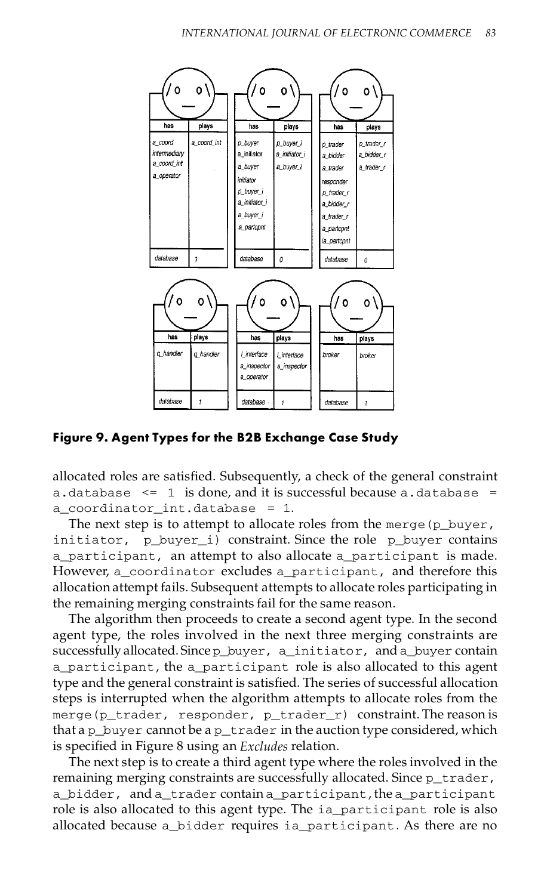

**Figure 9. Agent Types for the B2B Exchange Case Study**

allocated roles are satisfied. Subsequently, a check of the general constraint a.database  $\leq 1$  is done, and it is successful because a.database = a coordinator int.database = 1.

The next step is to attempt to allocate roles from the merge (p\_buyer, initiator, p\_buyer\_i) constraint. Since the role p\_buyer contains a\_participant, an attempt to also allocate a\_participant is made. However, a\_coordinator excludes a\_participant, and therefore this allocation attempt fails. Subsequent attempts to allocate roles participating in the remaining merging constraints fail for the same reason.

The algorithm then proceeds to create a second agent type. In the second agent type, the roles involved in the next three merging constraints are successfully allocated. Since p\_buyer, a\_initiator, and a\_buyer contain a\_participant, the a\_participant role is also allocated to this agent type and the general constraint is satisfied. The series of successful allocation steps is interrupted when the algorithm attempts to allocate roles from the merge(p\_trader, responder, p\_trader\_r) constraint. The reason is that a p\_buyer cannot be a p\_trader in the auction type considered, which is specified in Figure 8 using an *Excludes* relation.

The next step is to create a third agent type where the roles involved in the remaining merging constraints are successfully allocated. Since p\_trader, a\_bidder, and a\_trader contain a\_participant, the a\_participant role is also allocated to this agent type. The ia\_participant role is also allocated because a\_bidder requires ia\_participant. As there are no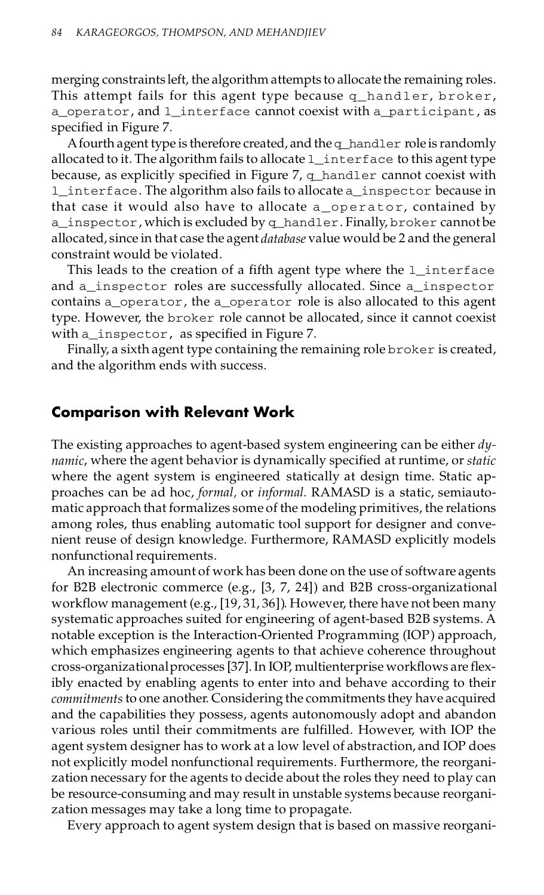merging constraints left, the algorithm attempts to allocate the remaining roles. This attempt fails for this agent type because q\_handler, broker, a\_operator, and l\_interface cannot coexist with a\_participant, as specified in Figure 7.

Afourth agent type is therefore created, and the q\_handler role is randomly allocated to it. The algorithm fails to allocate l\_interface to this agent type because, as explicitly specified in Figure 7, q\_handler cannot coexist with l\_interface. The algorithm also fails to allocate a\_inspector because in that case it would also have to allocate a\_operator, contained by a\_inspector, which is excluded by q\_handler. Finally, broker cannot be allocated, since in that case the agent *database* value would be 2 and the general constraint would be violated.

This leads to the creation of a fifth agent type where the l\_interface and a\_inspector roles are successfully allocated. Since a\_inspector contains a\_operator, the a\_operator role is also allocated to this agent type. However, the broker role cannot be allocated, since it cannot coexist with a\_inspector, as specified in Figure 7.

Finally, a sixth agent type containing the remaining role broker is created, and the algorithm ends with success.

#### **Comparison with Relevant Work**

The existing approaches to agent-based system engineering can be either *dynamic*, where the agent behavior is dynamically specified at runtime, or *static* where the agent system is engineered statically at design time. Static approaches can be ad hoc, *formal,* or *informal*. RAMASD is a static, semiautomatic approach that formalizes some of the modeling primitives, the relations among roles, thus enabling automatic tool support for designer and convenient reuse of design knowledge. Furthermore, RAMASD explicitly models nonfunctional requirements.

An increasing amount of work has been done on the use of software agents for B2B electronic commerce (e.g., [3, 7, 24]) and B2B cross-organizational workflow management (e.g., [19, 31, 36]). However, there have not been many systematic approaches suited for engineering of agent-based B2B systems. A notable exception is the Interaction-Oriented Programming (IOP) approach, which emphasizes engineering agents to that achieve coherence throughout cross-organizational processes [37]. In IOP, multienterprise workflows are flexibly enacted by enabling agents to enter into and behave according to their *commitments* to one another. Considering the commitments they have acquired and the capabilities they possess, agents autonomously adopt and abandon various roles until their commitments are fulfilled. However, with IOP the agent system designer has to work at a low level of abstraction, and IOP does not explicitly model nonfunctional requirements. Furthermore, the reorganization necessary for the agents to decide about the roles they need to play can be resource-consuming and may result in unstable systems because reorganization messages may take a long time to propagate.

Every approach to agent system design that is based on massive reorgani-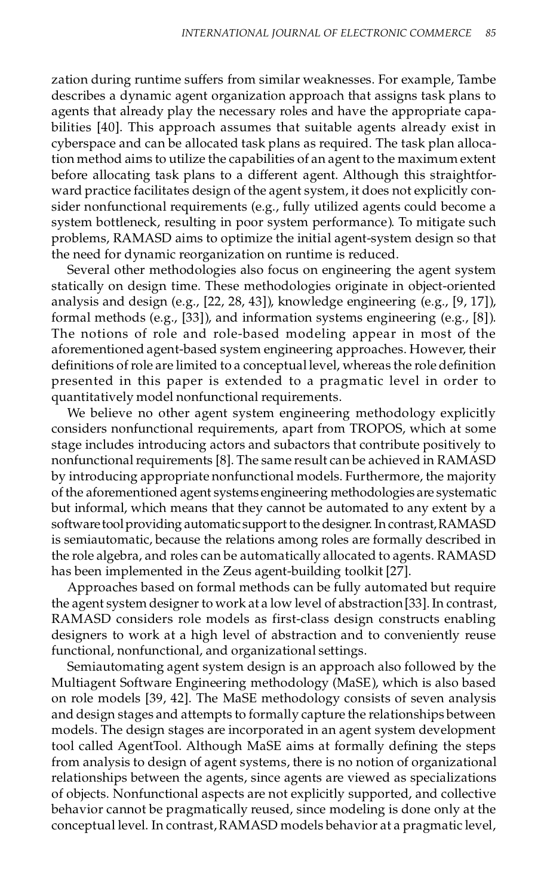zation during runtime suffers from similar weaknesses. For example, Tambe describes a dynamic agent organization approach that assigns task plans to agents that already play the necessary roles and have the appropriate capabilities [40]. This approach assumes that suitable agents already exist in cyberspace and can be allocated task plans as required. The task plan allocation method aims to utilize the capabilities of an agent to the maximum extent before allocating task plans to a different agent. Although this straightforward practice facilitates design of the agent system, it does not explicitly consider nonfunctional requirements (e.g., fully utilized agents could become a system bottleneck, resulting in poor system performance). To mitigate such problems, RAMASD aims to optimize the initial agent-system design so that the need for dynamic reorganization on runtime is reduced.

Several other methodologies also focus on engineering the agent system statically on design time. These methodologies originate in object-oriented analysis and design (e.g., [22, 28, 43]), knowledge engineering (e.g., [9, 17]), formal methods (e.g., [33]), and information systems engineering (e.g., [8]). The notions of role and role-based modeling appear in most of the aforementioned agent-based system engineering approaches. However, their definitions of role are limited to a conceptual level, whereas the role definition presented in this paper is extended to a pragmatic level in order to quantitatively model nonfunctional requirements.

We believe no other agent system engineering methodology explicitly considers nonfunctional requirements, apart from TROPOS, which at some stage includes introducing actors and subactors that contribute positively to nonfunctional requirements [8]. The same result can be achieved in RAMASD by introducing appropriate nonfunctional models. Furthermore, the majority of the aforementioned agent systems engineering methodologies are systematic but informal, which means that they cannot be automated to any extent by a software tool providing automatic support to the designer. In contrast, RAMASD is semiautomatic, because the relations among roles are formally described in the role algebra, and roles can be automatically allocated to agents. RAMASD has been implemented in the Zeus agent-building toolkit [27].

Approaches based on formal methods can be fully automated but require the agent system designer to work at a low level of abstraction [33]. In contrast, RAMASD considers role models as first-class design constructs enabling designers to work at a high level of abstraction and to conveniently reuse functional, nonfunctional, and organizational settings.

Semiautomating agent system design is an approach also followed by the Multiagent Software Engineering methodology (MaSE), which is also based on role models [39, 42]. The MaSE methodology consists of seven analysis and design stages and attempts to formally capture the relationships between models. The design stages are incorporated in an agent system development tool called AgentTool. Although MaSE aims at formally defining the steps from analysis to design of agent systems, there is no notion of organizational relationships between the agents, since agents are viewed as specializations of objects. Nonfunctional aspects are not explicitly supported, and collective behavior cannot be pragmatically reused, since modeling is done only at the conceptual level. In contrast, RAMASD models behavior at a pragmatic level,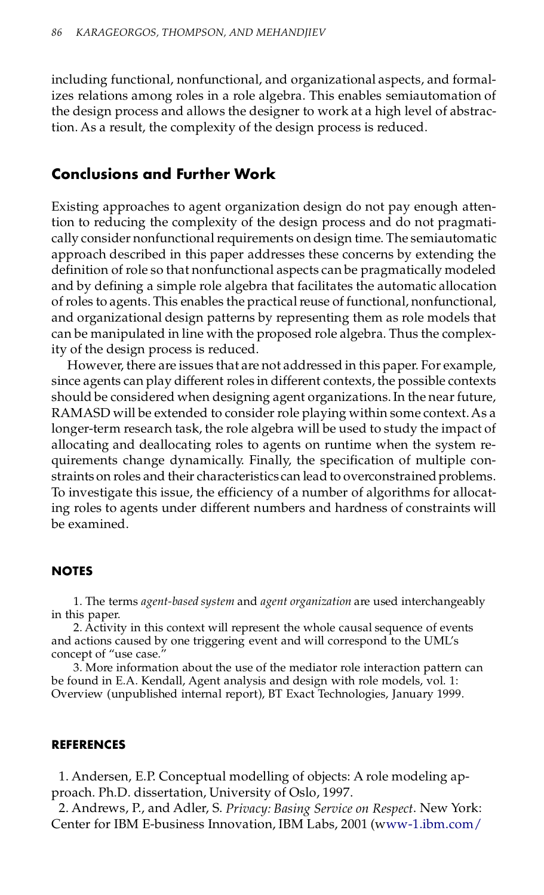including functional, nonfunctional, and organizational aspects, and formalizes relations among roles in a role algebra. This enables semiautomation of the design process and allows the designer to work at a high level of abstraction. As a result, the complexity of the design process is reduced.

#### **Conclusions and Further Work**

Existing approaches to agent organization design do not pay enough attention to reducing the complexity of the design process and do not pragmatically consider nonfunctional requirements on design time. The semiautomatic approach described in this paper addresses these concerns by extending the definition of role so that nonfunctional aspects can be pragmatically modeled and by defining a simple role algebra that facilitates the automatic allocation of roles to agents. This enables the practical reuse of functional, nonfunctional, and organizational design patterns by representing them as role models that can be manipulated in line with the proposed role algebra. Thus the complexity of the design process is reduced.

However, there are issues that are not addressed in this paper. For example, since agents can play different roles in different contexts, the possible contexts should be considered when designing agent organizations. In the near future, RAMASD will be extended to consider role playing within some context. As a longer-term research task, the role algebra will be used to study the impact of allocating and deallocating roles to agents on runtime when the system requirements change dynamically. Finally, the specification of multiple constraints on roles and their characteristics can lead to overconstrained problems. To investigate this issue, the efficiency of a number of algorithms for allocating roles to agents under different numbers and hardness of constraints will be examined.

#### **NOTES**

1. The terms *agent-based system* and *agent organization* are used interchangeably in this paper.

2. Activity in this context will represent the whole causal sequence of events and actions caused by one triggering event and will correspond to the UML's concept of "use case."

3. More information about the use of the mediator role interaction pattern can be found in E.A. Kendall, Agent analysis and design with role models, vol. 1: Overview (unpublished internal report), BT Exact Technologies, January 1999.

#### **REFERENCES**

1. Andersen, E.P. Conceptual modelling of objects: A role modeling approach. Ph.D. dissertation, University of Oslo, 1997.

2. Andrews, P., and Adler, S. *Privacy: Basing Service on Respect*. New York: Center for IBM E-business Innovation, IBM Labs, 2001 ([www-1.ibm.com/](http://www-1.ibm.com/services/strategy/files/IBM_Consulting_Privacy_Basing_service_on_respect.pdf)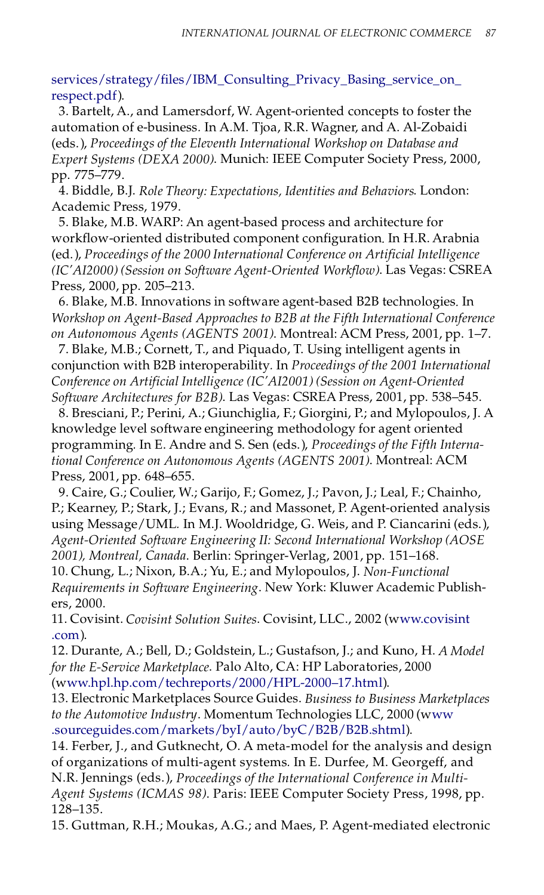[services/strategy/files/IBM\\_Consulting\\_Privacy\\_Basing\\_service\\_on\\_](http://www-1.ibm.com/services/strategy/files/IBM_Consulting_Privacy_Basing_service_on_respect.pdf) [respect.pdf](http://www-1.ibm.com/services/strategy/files/IBM_Consulting_Privacy_Basing_service_on_respect.pdf)).

3. Bartelt, A., and Lamersdorf, W. Agent-oriented concepts to foster the automation of e-business*.* In A.M. Tjoa, R.R. Wagner, and A. Al-Zobaidi (eds.), *Proceedings of the Eleventh International Workshop on Database and Expert Systems (DEXA 2000)*. Munich: IEEE Computer Society Press, 2000, pp. 775–779.

4. Biddle, B.J. *Role Theory: Expectations, Identities and Behaviors*. London: Academic Press, 1979.

5. Blake, M.B. WARP: An agent-based process and architecture for workflow-oriented distributed component configuration*.* In H.R. Arabnia (ed.), *Proceedings of the 2000 International Conference on Artificial Intelligence (IC'AI2000) (Session on Software Agent-Oriented Workflow)*. Las Vegas: CSREA Press, 2000, pp. 205–213.

6. Blake, M.B. Innovations in software agent-based B2B technologies*.* In *Workshop on Agent-Based Approaches to B2B at the Fifth International Conference on Autonomous Agents (AGENTS 2001)*. Montreal: ACM Press, 2001, pp. 1–7.

7. Blake, M.B.; Cornett, T., and Piquado, T. Using intelligent agents in conjunction with B2B interoperability*.* In *Proceedings of the 2001 International Conference on Artificial Intelligence (IC'AI2001) (Session on Agent-Oriented Software Architectures for B2B)*. Las Vegas: CSREA Press, 2001, pp. 538–545.

8. Bresciani, P.; Perini, A.; Giunchiglia, F.; Giorgini, P.; and Mylopoulos, J. A knowledge level software engineering methodology for agent oriented programming*.* In E. Andre and S. Sen (eds.), *Proceedings of the Fifth International Conference on Autonomous Agents (AGENTS 2001)*. Montreal: ACM Press, 2001, pp. 648–655.

9. Caire, G.; Coulier, W.; Garijo, F.; Gomez, J.; Pavon, J.; Leal, F.; Chainho, P.; Kearney, P.; Stark, J.; Evans, R.; and Massonet, P. Agent-oriented analysis using Message/UML*.* In M.J. Wooldridge, G. Weis, and P. Ciancarini (eds.), *Agent-Oriented Software Engineering II: Second International Workshop (AOSE 2001), Montreal, Canada*. Berlin: Springer-Verlag, 2001, pp. 151–168. 10. Chung, L.; Nixon, B.A.; Yu, E.; and Mylopoulos, J. *Non-Functional*

*Requirements in Software Engineering*. New York: Kluwer Academic Publishers, 2000.

11. Covisint. *Covisint Solution Suites*. Covisint, LLC., 2002 ([www.covisint](http://www.covisint.com) [.com](http://www.covisint.com)).

12. Durante, A.; Bell, D.; Goldstein, L.; Gustafson, J.; and Kuno, H. *A Model for the E-Service Marketplace*. Palo Alto, CA: HP Laboratories, 2000 ([www.hpl.hp.com/techreports/2000/HPL-2000–17.htm](http://www.hpl.hp.com/techreports/2000/HPL-2000-17.html)l).

13. Electronic Marketplaces Source Guides. *Business to Business Marketplaces to the Automotive Industry*. Momentum Technologies LLC, 2000 ([www](http://www.sourceguides.com/markets/byI/auto/byC/B2B/B2B.shtml) [.sourceguides.com/markets/byI/auto/byC/B2B/B2B.shtm](http://www.sourceguides.com/markets/byI/auto/byC/B2B/B2B.shtml)l).

14. Ferber, J., and Gutknecht, O. A meta-model for the analysis and design of organizations of multi-agent systems*.* In E. Durfee, M. Georgeff, and N.R. Jennings (eds.), *Proceedings of the International Conference in Multi-Agent Systems (ICMAS 98)*. Paris: IEEE Computer Society Press, 1998, pp.

128–135.

15. Guttman, R.H.; Moukas, A.G.; and Maes, P. Agent-mediated electronic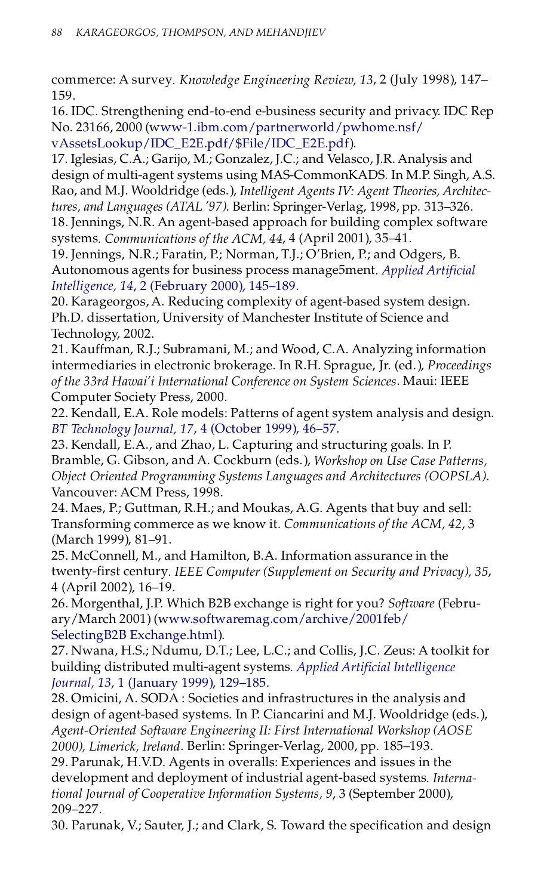commerce: A survey*. Knowledge Engineering Review, 13*, 2 (July 1998), 147– 159.

16. IDC. Strengthening end-to-end e-business security and privacy. IDC Rep No. 23166, 2000 ([www-1.ibm.com/partnerworld/pwhome.nsf/](http://www-1.ibm.com/partnerworld/pwhome.nsf/vAssetsLookup/IDC_E2E.pdf/%24File/IDC_E2E.pdf) [vAssetsLookup/IDC\\_E2E.pdf/\\$File/IDC\\_E2E.pdf](http://www-1.ibm.com/partnerworld/pwhome.nsf/vAssetsLookup/IDC_E2E.pdf/%24File/IDC_E2E.pdf)).

17. Iglesias, C.A.; Garijo, M.; Gonzalez, J.C.; and Velasco, J.R. Analysis and design of multi-agent systems using MAS-CommonKADS*.* In M.P. Singh, A.S. Rao, and M.J. Wooldridge (eds.), *Intelligent Agents IV: Agent Theories, Architectures, and Languages (ATAL '97)*. Berlin: Springer-Verlag, 1998, pp. 313–326. 18. Jennings, N.R. An agent-based approach for building complex software systems*. Communications of the ACM, 44*, 4 (April 2001), 35–41.

19. Jennings, N.R.; Faratin, P.; Norman, T.J.; O'Brien, P.; and Odgers, B. Autonomous agents for business process manage5ment*. [Applied Artificial](http://zerlina.ingentaselect.com/nw=1/rpsv/cgi-bin/linker?ext=a&reqidx=/0883-9514^28200002^2914:2L.145[aid=1722802]) Intelligence, 14*[, 2 \(February 2000\), 145–189.](http://zerlina.ingentaselect.com/nw=1/rpsv/cgi-bin/linker?ext=a&reqidx=/0883-9514^28200002^2914:2L.145[aid=1722802])

20. Karageorgos, A. Reducing complexity of agent-based system design. Ph.D. dissertation, University of Manchester Institute of Science and Technology, 2002.

21. Kauffman, R.J.; Subramani, M.; and Wood, C.A. Analyzing information intermediaries in electronic brokerage*.* In R.H. Sprague, Jr. (ed.), *Proceedings of the 33rd Hawai'i International Conference on System Sciences*. Maui: IEEE Computer Society Press, 2000.

22. Kendall, E.A. Role models: Patterns of agent system analysis and design*. BT Technology Journal, 17*[, 4 \(October 1999\), 46–57.](http://zerlina.ingentaselect.com/nw=1/rpsv/cgi-bin/linker?ext=a&reqidx=/1358-3948^28199910^2917:4L.46[aid=3307721])

23. Kendall, E.A., and Zhao, L. Capturing and structuring goals*.* In P. Bramble, G. Gibson, and A. Cockburn (eds.), *Workshop on Use Case Patterns, Object Oriented Programming Systems Languages and Architectures (OOPSLA)*. Vancouver: ACM Press, 1998.

24. Maes, P.; Guttman, R.H.; and Moukas, A.G. Agents that buy and sell: Transforming commerce as we know it*. Communications of the ACM, 42*, 3 (March 1999), 81–91.

25. McConnell, M., and Hamilton, B.A. Information assurance in the twenty-first century*. IEEE Computer (Supplement on Security and Privacy), 35*, 4 (April 2002), 16–19.

26. Morgenthal, J.P. Which B2B exchange is right for you? *Software* (February/March 2001) ([www.softwaremag.com/archive/2001feb/](http://www.softwaremag.com/archive/2001feb/SelectingB2BExchange.html) [SelectingB2B Exchange.html](http://www.softwaremag.com/archive/2001feb/SelectingB2BExchange.html)).

27. Nwana, H.S.; Ndumu, D.T.; Lee, L.C.; and Collis, J.C. Zeus: A toolkit for building distributed multi-agent systems*. [Applied Artificial Intelligence](http://zerlina.ingentaselect.com/nw=1/rpsv/cgi-bin/linker?ext=a&reqidx=/0883-9514^28199901^2913:1L.129[aid=1738951]) Journal, 13*[, 1 \(January 1999\), 129–185.](http://zerlina.ingentaselect.com/nw=1/rpsv/cgi-bin/linker?ext=a&reqidx=/0883-9514^28199901^2913:1L.129[aid=1738951])

28. Omicini, A. SODA : Societies and infrastructures in the analysis and design of agent-based systems*.* In P. Ciancarini and M.J. Wooldridge (eds.), *Agent-Oriented Software Engineering II: First International Workshop (AOSE 2000), Limerick, Ireland*. Berlin: Springer-Verlag, 2000, pp. 185–193.

29. Parunak, H.V.D. Agents in overalls: Experiences and issues in the development and deployment of industrial agent-based systems*. International Journal of Cooperative Information Systems, 9*, 3 (September 2000), 209–227.

30. Parunak, V.; Sauter, J.; and Clark, S. Toward the specification and design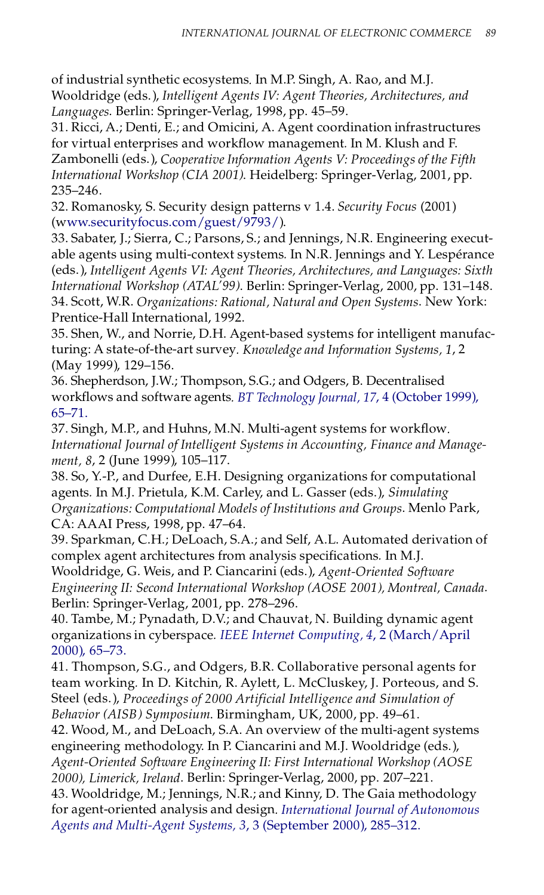of industrial synthetic ecosystems*.* In M.P. Singh, A. Rao, and M.J. Wooldridge (eds.), *Intelligent Agents IV: Agent Theories, Architectures, and Languages*. Berlin: Springer-Verlag, 1998, pp. 45–59.

31. Ricci, A.; Denti, E.; and Omicini, A. Agent coordination infrastructures for virtual enterprises and workflow management*.* In M. Klush and F. Zambonelli (eds.), *Cooperative Information Agents V: Proceedings of the Fifth International Workshop (CIA 2001)*. Heidelberg: Springer-Verlag, 2001, pp. 235–246.

32. Romanosky, S. Security design patterns v 1.4. *Security Focus* (2001) ([www.securityfocus.com/guest/9793/](http://www.securityfocus.com/guest/9793/)).

33. Sabater, J.; Sierra, C.; Parsons, S.; and Jennings, N.R. Engineering executable agents using multi-context systems*.* In N.R. Jennings and Y. Lespérance (eds.), *Intelligent Agents VI: Agent Theories, Architectures, and Languages: Sixth International Workshop (ATAL'99)*. Berlin: Springer-Verlag, 2000, pp. 131–148. 34. Scott, W.R. *Organizations: Rational, Natural and Open Systems*. New York: Prentice-Hall International, 1992.

35. Shen, W., and Norrie, D.H. Agent-based systems for intelligent manufacturing: A state-of-the-art survey*. Knowledge and Information Systems, 1*, 2 (May 1999), 129–156.

36. Shepherdson, J.W.; Thompson, S.G.; and Odgers, B. Decentralised workflows and software agents*. [BT Technology Journal, 17](http://zerlina.ingentaselect.com/nw=1/rpsv/cgi-bin/linker?ext=a&reqidx=/1358-3948^28199910^2917:4L.65[aid=3307724])*, 4 (October 1999), [65–71.](http://zerlina.ingentaselect.com/nw=1/rpsv/cgi-bin/linker?ext=a&reqidx=/1358-3948^28199910^2917:4L.65[aid=3307724])

37. Singh, M.P., and Huhns, M.N. Multi-agent systems for workflow*. International Journal of Intelligent Systems in Accounting, Finance and Management, 8*, 2 (June 1999), 105–117.

38. So, Y.-P., and Durfee, E.H. Designing organizations for computational agents*.* In M.J. Prietula, K.M. Carley, and L. Gasser (eds.), *Simulating Organizations: Computational Models of Institutions and Groups*. Menlo Park, CA: AAAI Press, 1998, pp. 47–64.

39. Sparkman, C.H.; DeLoach, S.A.; and Self, A.L. Automated derivation of complex agent architectures from analysis specifications*.* In M.J.

Wooldridge, G. Weis, and P. Ciancarini (eds.), *Agent-Oriented Software Engineering II: Second International Workshop (AOSE 2001), Montreal, Canada*. Berlin: Springer-Verlag, 2001, pp. 278–296.

40. Tambe, M.; Pynadath, D.V.; and Chauvat, N. Building dynamic agent organizations in cyberspace*. [IEEE Internet Computing, 4](http://zerlina.ingentaselect.com/nw=1/rpsv/cgi-bin/linker?ext=a&reqidx=/1089-7801^282000^294:2L.65[aid=3307727])*, 2 (March/April [2000\), 65–73.](http://zerlina.ingentaselect.com/nw=1/rpsv/cgi-bin/linker?ext=a&reqidx=/1089-7801^282000^294:2L.65[aid=3307727])

41. Thompson, S.G., and Odgers, B.R. Collaborative personal agents for team working*.* In D. Kitchin, R. Aylett, L. McCluskey, J. Porteous, and S. Steel (eds.), *Proceedings of 2000 Artificial Intelligence and Simulation of Behavior (AISB) Symposium*. Birmingham, UK, 2000, pp. 49–61.

42. Wood, M., and DeLoach, S.A. An overview of the multi-agent systems engineering methodology. In P. Ciancarini and M.J. Wooldridge (eds.), *Agent-Oriented Software Engineering II: First International Workshop (AOSE 2000), Limerick, Ireland*. Berlin: Springer-Verlag, 2000, pp. 207–221.

43. Wooldridge, M.; Jennings, N.R.; and Kinny, D. The Gaia methodology for agent-oriented analysis and design*. [International Journal of Autonomous](http://zerlina.ingentaselect.com/nw=1/rpsv/cgi-bin/linker?ext=a&reqidx=/1387-2532^28200009^293:3L.285[aid=3307726]) [Agents and Multi-Agent Systems, 3](http://zerlina.ingentaselect.com/nw=1/rpsv/cgi-bin/linker?ext=a&reqidx=/1387-2532^28200009^293:3L.285[aid=3307726])*, 3 (September 2000), 285–312.